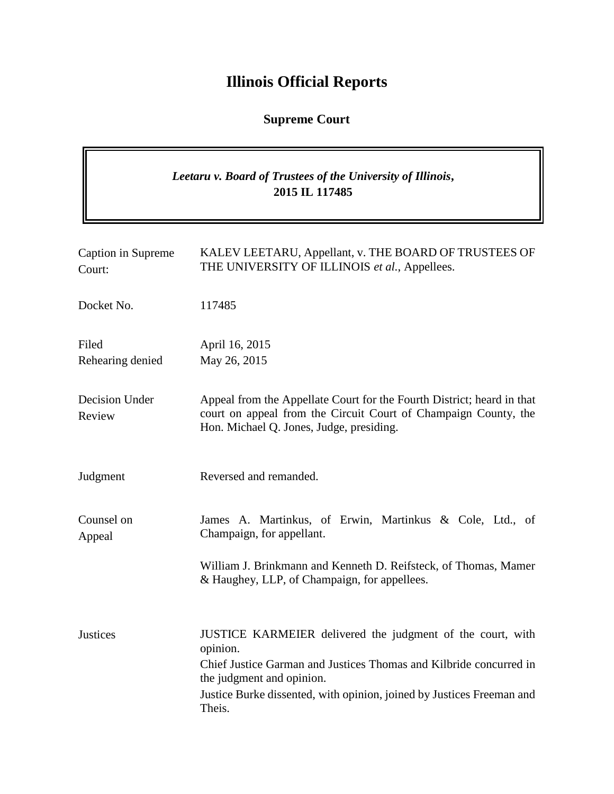# **Illinois Official Reports**

# **Supreme Court**

# *Leetaru v. Board of Trustees of the University of Illinois***, 2015 IL 117485**

| Caption in Supreme<br>Court: | KALEV LEETARU, Appellant, v. THE BOARD OF TRUSTEES OF<br>THE UNIVERSITY OF ILLINOIS et al., Appellees.                                                                                                                                                       |
|------------------------------|--------------------------------------------------------------------------------------------------------------------------------------------------------------------------------------------------------------------------------------------------------------|
| Docket No.                   | 117485                                                                                                                                                                                                                                                       |
| Filed<br>Rehearing denied    | April 16, 2015<br>May 26, 2015                                                                                                                                                                                                                               |
| Decision Under<br>Review     | Appeal from the Appellate Court for the Fourth District; heard in that<br>court on appeal from the Circuit Court of Champaign County, the<br>Hon. Michael Q. Jones, Judge, presiding.                                                                        |
| Judgment                     | Reversed and remanded.                                                                                                                                                                                                                                       |
| Counsel on<br>Appeal         | James A. Martinkus, of Erwin, Martinkus & Cole, Ltd., of<br>Champaign, for appellant.                                                                                                                                                                        |
|                              | William J. Brinkmann and Kenneth D. Reifsteck, of Thomas, Mamer<br>& Haughey, LLP, of Champaign, for appellees.                                                                                                                                              |
| <b>Justices</b>              | JUSTICE KARMEIER delivered the judgment of the court, with<br>opinion.<br>Chief Justice Garman and Justices Thomas and Kilbride concurred in<br>the judgment and opinion.<br>Justice Burke dissented, with opinion, joined by Justices Freeman and<br>Theis. |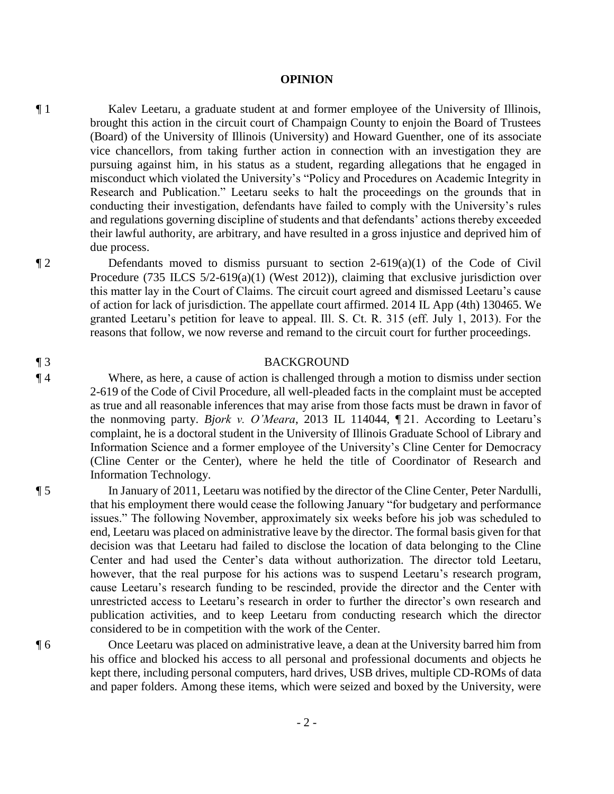#### **OPINION**

¶ 1 Kalev Leetaru, a graduate student at and former employee of the University of Illinois, brought this action in the circuit court of Champaign County to enjoin the Board of Trustees (Board) of the University of Illinois (University) and Howard Guenther, one of its associate vice chancellors, from taking further action in connection with an investigation they are pursuing against him, in his status as a student, regarding allegations that he engaged in misconduct which violated the University's "Policy and Procedures on Academic Integrity in Research and Publication." Leetaru seeks to halt the proceedings on the grounds that in conducting their investigation, defendants have failed to comply with the University's rules and regulations governing discipline of students and that defendants' actions thereby exceeded their lawful authority, are arbitrary, and have resulted in a gross injustice and deprived him of due process.

¶ 2 Defendants moved to dismiss pursuant to section 2-619(a)(1) of the Code of Civil Procedure (735 ILCS 5/2-619(a)(1) (West 2012)), claiming that exclusive jurisdiction over this matter lay in the Court of Claims. The circuit court agreed and dismissed Leetaru's cause of action for lack of jurisdiction. The appellate court affirmed. 2014 IL App (4th) 130465. We granted Leetaru's petition for leave to appeal. Ill. S. Ct. R. 315 (eff. July 1, 2013). For the reasons that follow, we now reverse and remand to the circuit court for further proceedings.

#### ¶ 3 BACKGROUND

¶ 4 Where, as here, a cause of action is challenged through a motion to dismiss under section 2-619 of the Code of Civil Procedure, all well-pleaded facts in the complaint must be accepted as true and all reasonable inferences that may arise from those facts must be drawn in favor of the nonmoving party. *Bjork v. O'Meara*, 2013 IL 114044, ¶ 21. According to Leetaru's complaint, he is a doctoral student in the University of Illinois Graduate School of Library and Information Science and a former employee of the University's Cline Center for Democracy (Cline Center or the Center), where he held the title of Coordinator of Research and Information Technology.

¶ 5 In January of 2011, Leetaru was notified by the director of the Cline Center, Peter Nardulli, that his employment there would cease the following January "for budgetary and performance issues." The following November, approximately six weeks before his job was scheduled to end, Leetaru was placed on administrative leave by the director. The formal basis given for that decision was that Leetaru had failed to disclose the location of data belonging to the Cline Center and had used the Center's data without authorization. The director told Leetaru, however, that the real purpose for his actions was to suspend Leetaru's research program, cause Leetaru's research funding to be rescinded, provide the director and the Center with unrestricted access to Leetaru's research in order to further the director's own research and publication activities, and to keep Leetaru from conducting research which the director considered to be in competition with the work of the Center.

¶ 6 Once Leetaru was placed on administrative leave, a dean at the University barred him from his office and blocked his access to all personal and professional documents and objects he kept there, including personal computers, hard drives, USB drives, multiple CD-ROMs of data and paper folders. Among these items, which were seized and boxed by the University, were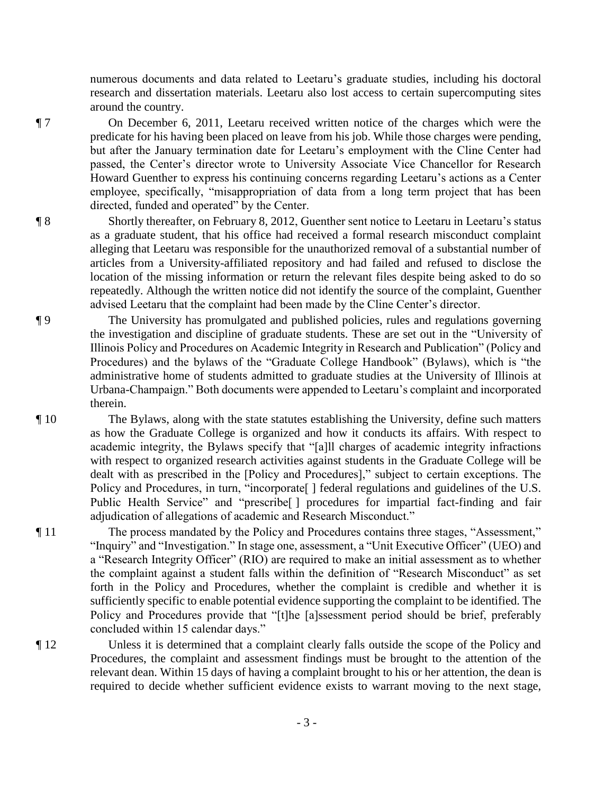numerous documents and data related to Leetaru's graduate studies, including his doctoral research and dissertation materials. Leetaru also lost access to certain supercomputing sites around the country.

¶ 7 On December 6, 2011, Leetaru received written notice of the charges which were the predicate for his having been placed on leave from his job. While those charges were pending, but after the January termination date for Leetaru's employment with the Cline Center had passed, the Center's director wrote to University Associate Vice Chancellor for Research Howard Guenther to express his continuing concerns regarding Leetaru's actions as a Center employee, specifically, "misappropriation of data from a long term project that has been directed, funded and operated" by the Center.

¶ 8 Shortly thereafter, on February 8, 2012, Guenther sent notice to Leetaru in Leetaru's status as a graduate student, that his office had received a formal research misconduct complaint alleging that Leetaru was responsible for the unauthorized removal of a substantial number of articles from a University-affiliated repository and had failed and refused to disclose the location of the missing information or return the relevant files despite being asked to do so repeatedly. Although the written notice did not identify the source of the complaint, Guenther advised Leetaru that the complaint had been made by the Cline Center's director.

¶ 9 The University has promulgated and published policies, rules and regulations governing the investigation and discipline of graduate students. These are set out in the "University of Illinois Policy and Procedures on Academic Integrity in Research and Publication" (Policy and Procedures) and the bylaws of the "Graduate College Handbook" (Bylaws), which is "the administrative home of students admitted to graduate studies at the University of Illinois at Urbana-Champaign." Both documents were appended to Leetaru's complaint and incorporated therein.

¶ 10 The Bylaws, along with the state statutes establishing the University, define such matters as how the Graduate College is organized and how it conducts its affairs. With respect to academic integrity, the Bylaws specify that "[a]ll charges of academic integrity infractions with respect to organized research activities against students in the Graduate College will be dealt with as prescribed in the [Policy and Procedures]," subject to certain exceptions. The Policy and Procedures, in turn, "incorporate<sup>[]</sup> federal regulations and guidelines of the U.S. Public Health Service" and "prescribe<sup>[]</sup> procedures for impartial fact-finding and fair adjudication of allegations of academic and Research Misconduct."

¶ 11 The process mandated by the Policy and Procedures contains three stages, "Assessment," "Inquiry" and "Investigation." In stage one, assessment, a "Unit Executive Officer" (UEO) and a "Research Integrity Officer" (RIO) are required to make an initial assessment as to whether the complaint against a student falls within the definition of "Research Misconduct" as set forth in the Policy and Procedures, whether the complaint is credible and whether it is sufficiently specific to enable potential evidence supporting the complaint to be identified. The Policy and Procedures provide that "[t]he [a]ssessment period should be brief, preferably concluded within 15 calendar days."

¶ 12 Unless it is determined that a complaint clearly falls outside the scope of the Policy and Procedures, the complaint and assessment findings must be brought to the attention of the relevant dean. Within 15 days of having a complaint brought to his or her attention, the dean is required to decide whether sufficient evidence exists to warrant moving to the next stage,

- 3 -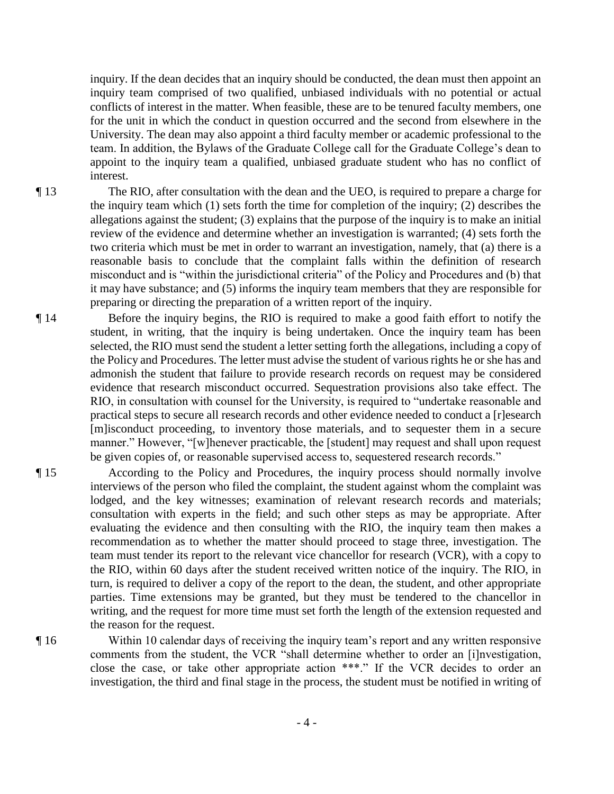inquiry. If the dean decides that an inquiry should be conducted, the dean must then appoint an inquiry team comprised of two qualified, unbiased individuals with no potential or actual conflicts of interest in the matter. When feasible, these are to be tenured faculty members, one for the unit in which the conduct in question occurred and the second from elsewhere in the University. The dean may also appoint a third faculty member or academic professional to the team. In addition, the Bylaws of the Graduate College call for the Graduate College's dean to appoint to the inquiry team a qualified, unbiased graduate student who has no conflict of interest.

¶ 13 The RIO, after consultation with the dean and the UEO, is required to prepare a charge for the inquiry team which (1) sets forth the time for completion of the inquiry; (2) describes the allegations against the student; (3) explains that the purpose of the inquiry is to make an initial review of the evidence and determine whether an investigation is warranted; (4) sets forth the two criteria which must be met in order to warrant an investigation, namely, that (a) there is a reasonable basis to conclude that the complaint falls within the definition of research misconduct and is "within the jurisdictional criteria" of the Policy and Procedures and (b) that it may have substance; and (5) informs the inquiry team members that they are responsible for preparing or directing the preparation of a written report of the inquiry.

- ¶ 14 Before the inquiry begins, the RIO is required to make a good faith effort to notify the student, in writing, that the inquiry is being undertaken. Once the inquiry team has been selected, the RIO must send the student a letter setting forth the allegations, including a copy of the Policy and Procedures. The letter must advise the student of various rights he or she has and admonish the student that failure to provide research records on request may be considered evidence that research misconduct occurred. Sequestration provisions also take effect. The RIO, in consultation with counsel for the University, is required to "undertake reasonable and practical steps to secure all research records and other evidence needed to conduct a [r]esearch [m]isconduct proceeding, to inventory those materials, and to sequester them in a secure manner." However, "[w]henever practicable, the [student] may request and shall upon request be given copies of, or reasonable supervised access to, sequestered research records."
- ¶ 15 According to the Policy and Procedures, the inquiry process should normally involve interviews of the person who filed the complaint, the student against whom the complaint was lodged, and the key witnesses; examination of relevant research records and materials; consultation with experts in the field; and such other steps as may be appropriate. After evaluating the evidence and then consulting with the RIO, the inquiry team then makes a recommendation as to whether the matter should proceed to stage three, investigation. The team must tender its report to the relevant vice chancellor for research (VCR), with a copy to the RIO, within 60 days after the student received written notice of the inquiry. The RIO, in turn, is required to deliver a copy of the report to the dean, the student, and other appropriate parties. Time extensions may be granted, but they must be tendered to the chancellor in writing, and the request for more time must set forth the length of the extension requested and the reason for the request.
- 

¶ 16 Within 10 calendar days of receiving the inquiry team's report and any written responsive comments from the student, the VCR "shall determine whether to order an [i]nvestigation, close the case, or take other appropriate action \*\*\*." If the VCR decides to order an investigation, the third and final stage in the process, the student must be notified in writing of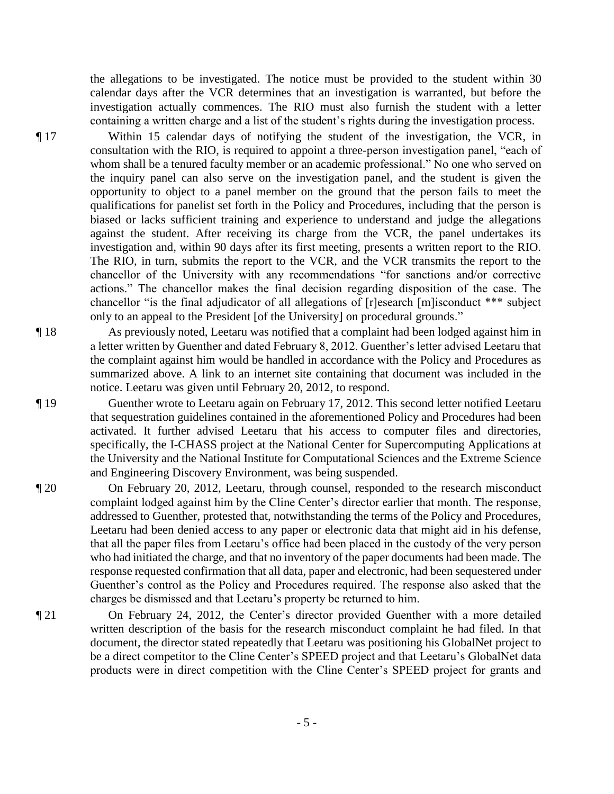the allegations to be investigated. The notice must be provided to the student within 30 calendar days after the VCR determines that an investigation is warranted, but before the investigation actually commences. The RIO must also furnish the student with a letter containing a written charge and a list of the student's rights during the investigation process.

¶ 17 Within 15 calendar days of notifying the student of the investigation, the VCR, in consultation with the RIO, is required to appoint a three-person investigation panel, "each of whom shall be a tenured faculty member or an academic professional." No one who served on the inquiry panel can also serve on the investigation panel, and the student is given the opportunity to object to a panel member on the ground that the person fails to meet the qualifications for panelist set forth in the Policy and Procedures, including that the person is biased or lacks sufficient training and experience to understand and judge the allegations against the student. After receiving its charge from the VCR, the panel undertakes its investigation and, within 90 days after its first meeting, presents a written report to the RIO. The RIO, in turn, submits the report to the VCR, and the VCR transmits the report to the chancellor of the University with any recommendations "for sanctions and/or corrective actions." The chancellor makes the final decision regarding disposition of the case. The chancellor "is the final adjudicator of all allegations of [r]esearch [m]isconduct \*\*\* subject only to an appeal to the President [of the University] on procedural grounds."

¶ 18 As previously noted, Leetaru was notified that a complaint had been lodged against him in a letter written by Guenther and dated February 8, 2012. Guenther's letter advised Leetaru that the complaint against him would be handled in accordance with the Policy and Procedures as summarized above. A link to an internet site containing that document was included in the notice. Leetaru was given until February 20, 2012, to respond.

¶ 19 Guenther wrote to Leetaru again on February 17, 2012. This second letter notified Leetaru that sequestration guidelines contained in the aforementioned Policy and Procedures had been activated. It further advised Leetaru that his access to computer files and directories, specifically, the I-CHASS project at the National Center for Supercomputing Applications at the University and the National Institute for Computational Sciences and the Extreme Science and Engineering Discovery Environment, was being suspended.

- ¶ 20 On February 20, 2012, Leetaru, through counsel, responded to the research misconduct complaint lodged against him by the Cline Center's director earlier that month. The response, addressed to Guenther, protested that, notwithstanding the terms of the Policy and Procedures, Leetaru had been denied access to any paper or electronic data that might aid in his defense, that all the paper files from Leetaru's office had been placed in the custody of the very person who had initiated the charge, and that no inventory of the paper documents had been made. The response requested confirmation that all data, paper and electronic, had been sequestered under Guenther's control as the Policy and Procedures required. The response also asked that the charges be dismissed and that Leetaru's property be returned to him.
- ¶ 21 On February 24, 2012, the Center's director provided Guenther with a more detailed written description of the basis for the research misconduct complaint he had filed. In that document, the director stated repeatedly that Leetaru was positioning his GlobalNet project to be a direct competitor to the Cline Center's SPEED project and that Leetaru's GlobalNet data products were in direct competition with the Cline Center's SPEED project for grants and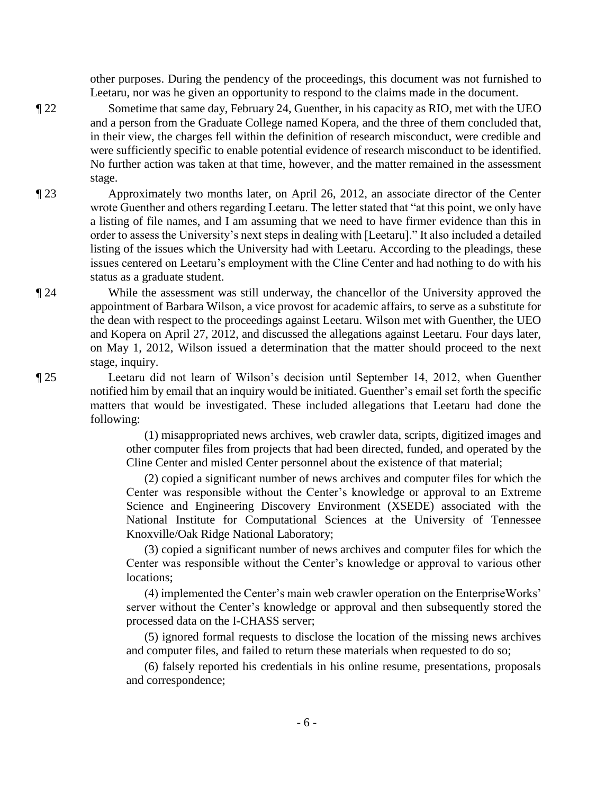other purposes. During the pendency of the proceedings, this document was not furnished to Leetaru, nor was he given an opportunity to respond to the claims made in the document.

¶ 22 Sometime that same day, February 24, Guenther, in his capacity as RIO, met with the UEO and a person from the Graduate College named Kopera, and the three of them concluded that, in their view, the charges fell within the definition of research misconduct, were credible and were sufficiently specific to enable potential evidence of research misconduct to be identified. No further action was taken at that time, however, and the matter remained in the assessment stage.

- ¶ 23 Approximately two months later, on April 26, 2012, an associate director of the Center wrote Guenther and others regarding Leetaru. The letter stated that "at this point, we only have a listing of file names, and I am assuming that we need to have firmer evidence than this in order to assess the University's next steps in dealing with [Leetaru]." It also included a detailed listing of the issues which the University had with Leetaru. According to the pleadings, these issues centered on Leetaru's employment with the Cline Center and had nothing to do with his status as a graduate student.
- ¶ 24 While the assessment was still underway, the chancellor of the University approved the appointment of Barbara Wilson, a vice provost for academic affairs, to serve as a substitute for the dean with respect to the proceedings against Leetaru. Wilson met with Guenther, the UEO and Kopera on April 27, 2012, and discussed the allegations against Leetaru. Four days later, on May 1, 2012, Wilson issued a determination that the matter should proceed to the next stage, inquiry.
- ¶ 25 Leetaru did not learn of Wilson's decision until September 14, 2012, when Guenther notified him by email that an inquiry would be initiated. Guenther's email set forth the specific matters that would be investigated. These included allegations that Leetaru had done the following:

 (1) misappropriated news archives, web crawler data, scripts, digitized images and other computer files from projects that had been directed, funded, and operated by the Cline Center and misled Center personnel about the existence of that material;

 (2) copied a significant number of news archives and computer files for which the Center was responsible without the Center's knowledge or approval to an Extreme Science and Engineering Discovery Environment (XSEDE) associated with the National Institute for Computational Sciences at the University of Tennessee Knoxville/Oak Ridge National Laboratory;

 (3) copied a significant number of news archives and computer files for which the Center was responsible without the Center's knowledge or approval to various other locations;

(4) implemented the Center's main web crawler operation on the EnterpriseWorks' server without the Center's knowledge or approval and then subsequently stored the processed data on the I-CHASS server;

 (5) ignored formal requests to disclose the location of the missing news archives and computer files, and failed to return these materials when requested to do so;

 (6) falsely reported his credentials in his online resume, presentations, proposals and correspondence;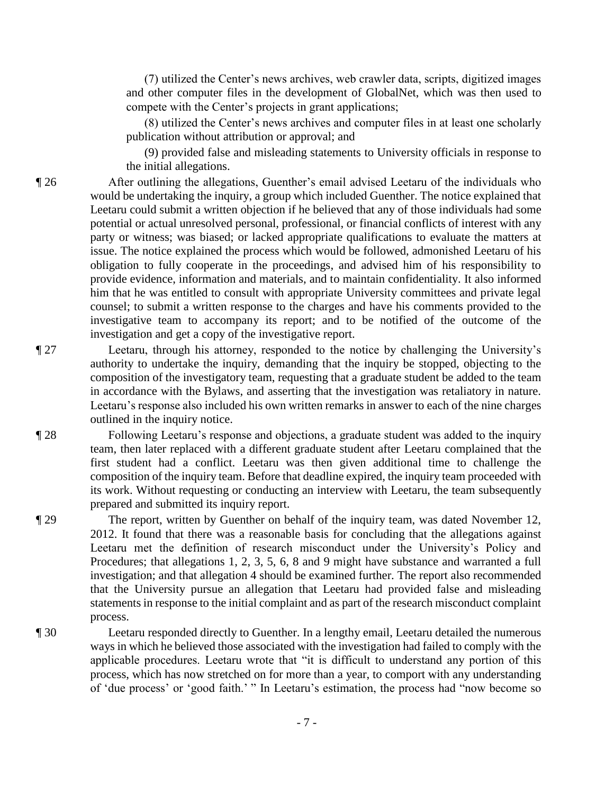(7) utilized the Center's news archives, web crawler data, scripts, digitized images and other computer files in the development of GlobalNet, which was then used to compete with the Center's projects in grant applications;

(8) utilized the Center's news archives and computer files in at least one scholarly publication without attribution or approval; and

 (9) provided false and misleading statements to University officials in response to the initial allegations.

¶ 26 After outlining the allegations, Guenther's email advised Leetaru of the individuals who would be undertaking the inquiry, a group which included Guenther. The notice explained that Leetaru could submit a written objection if he believed that any of those individuals had some potential or actual unresolved personal, professional, or financial conflicts of interest with any party or witness; was biased; or lacked appropriate qualifications to evaluate the matters at issue. The notice explained the process which would be followed, admonished Leetaru of his obligation to fully cooperate in the proceedings, and advised him of his responsibility to provide evidence, information and materials, and to maintain confidentiality. It also informed him that he was entitled to consult with appropriate University committees and private legal counsel; to submit a written response to the charges and have his comments provided to the investigative team to accompany its report; and to be notified of the outcome of the investigation and get a copy of the investigative report.

¶ 27 Leetaru, through his attorney, responded to the notice by challenging the University's authority to undertake the inquiry, demanding that the inquiry be stopped, objecting to the composition of the investigatory team, requesting that a graduate student be added to the team in accordance with the Bylaws, and asserting that the investigation was retaliatory in nature. Leetaru's response also included his own written remarks in answer to each of the nine charges outlined in the inquiry notice.

¶ 28 Following Leetaru's response and objections, a graduate student was added to the inquiry team, then later replaced with a different graduate student after Leetaru complained that the first student had a conflict. Leetaru was then given additional time to challenge the composition of the inquiry team. Before that deadline expired, the inquiry team proceeded with its work. Without requesting or conducting an interview with Leetaru, the team subsequently prepared and submitted its inquiry report.

¶ 29 The report, written by Guenther on behalf of the inquiry team, was dated November 12, 2012. It found that there was a reasonable basis for concluding that the allegations against Leetaru met the definition of research misconduct under the University's Policy and Procedures; that allegations 1, 2, 3, 5, 6, 8 and 9 might have substance and warranted a full investigation; and that allegation 4 should be examined further. The report also recommended that the University pursue an allegation that Leetaru had provided false and misleading statements in response to the initial complaint and as part of the research misconduct complaint process.

¶ 30 Leetaru responded directly to Guenther. In a lengthy email, Leetaru detailed the numerous ways in which he believed those associated with the investigation had failed to comply with the applicable procedures. Leetaru wrote that "it is difficult to understand any portion of this process, which has now stretched on for more than a year, to comport with any understanding of 'due process' or 'good faith.' " In Leetaru's estimation, the process had "now become so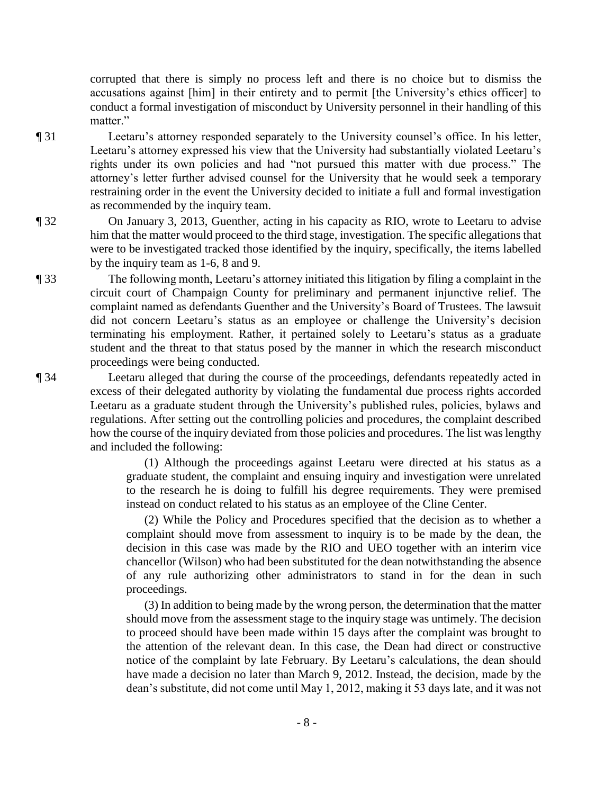corrupted that there is simply no process left and there is no choice but to dismiss the accusations against [him] in their entirety and to permit [the University's ethics officer] to conduct a formal investigation of misconduct by University personnel in their handling of this matter."

¶ 31 Leetaru's attorney responded separately to the University counsel's office. In his letter, Leetaru's attorney expressed his view that the University had substantially violated Leetaru's rights under its own policies and had "not pursued this matter with due process." The attorney's letter further advised counsel for the University that he would seek a temporary restraining order in the event the University decided to initiate a full and formal investigation as recommended by the inquiry team.

¶ 32 On January 3, 2013, Guenther, acting in his capacity as RIO, wrote to Leetaru to advise him that the matter would proceed to the third stage, investigation. The specific allegations that were to be investigated tracked those identified by the inquiry, specifically, the items labelled by the inquiry team as 1-6, 8 and 9.

¶ 33 The following month, Leetaru's attorney initiated this litigation by filing a complaint in the circuit court of Champaign County for preliminary and permanent injunctive relief. The complaint named as defendants Guenther and the University's Board of Trustees. The lawsuit did not concern Leetaru's status as an employee or challenge the University's decision terminating his employment. Rather, it pertained solely to Leetaru's status as a graduate student and the threat to that status posed by the manner in which the research misconduct proceedings were being conducted.

¶ 34 Leetaru alleged that during the course of the proceedings, defendants repeatedly acted in excess of their delegated authority by violating the fundamental due process rights accorded Leetaru as a graduate student through the University's published rules, policies, bylaws and regulations. After setting out the controlling policies and procedures, the complaint described how the course of the inquiry deviated from those policies and procedures. The list was lengthy and included the following:

> (1) Although the proceedings against Leetaru were directed at his status as a graduate student, the complaint and ensuing inquiry and investigation were unrelated to the research he is doing to fulfill his degree requirements. They were premised instead on conduct related to his status as an employee of the Cline Center.

> (2) While the Policy and Procedures specified that the decision as to whether a complaint should move from assessment to inquiry is to be made by the dean, the decision in this case was made by the RIO and UEO together with an interim vice chancellor (Wilson) who had been substituted for the dean notwithstanding the absence of any rule authorizing other administrators to stand in for the dean in such proceedings.

> (3) In addition to being made by the wrong person, the determination that the matter should move from the assessment stage to the inquiry stage was untimely. The decision to proceed should have been made within 15 days after the complaint was brought to the attention of the relevant dean. In this case, the Dean had direct or constructive notice of the complaint by late February. By Leetaru's calculations, the dean should have made a decision no later than March 9, 2012. Instead, the decision, made by the dean's substitute, did not come until May 1, 2012, making it 53 days late, and it was not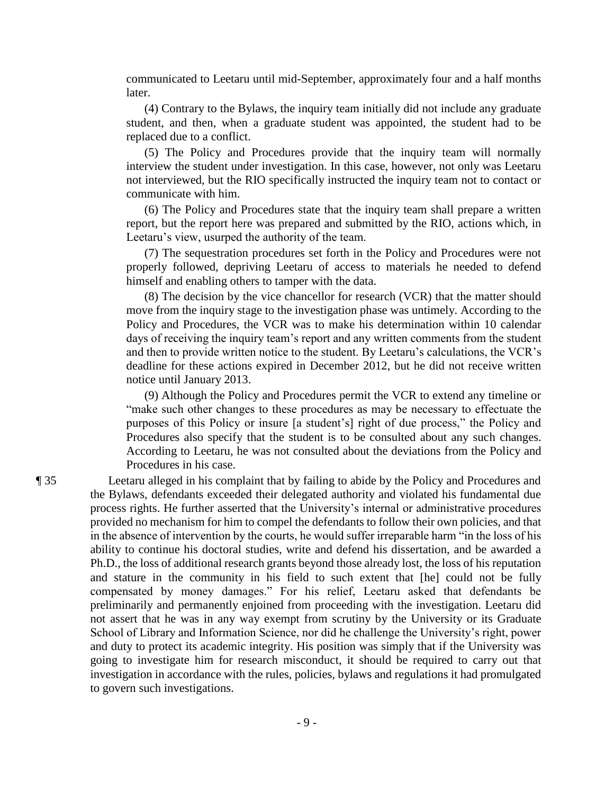communicated to Leetaru until mid-September, approximately four and a half months later.

 (4) Contrary to the Bylaws, the inquiry team initially did not include any graduate student, and then, when a graduate student was appointed, the student had to be replaced due to a conflict.

 (5) The Policy and Procedures provide that the inquiry team will normally interview the student under investigation. In this case, however, not only was Leetaru not interviewed, but the RIO specifically instructed the inquiry team not to contact or communicate with him.

 (6) The Policy and Procedures state that the inquiry team shall prepare a written report, but the report here was prepared and submitted by the RIO, actions which, in Leetaru's view, usurped the authority of the team.

 (7) The sequestration procedures set forth in the Policy and Procedures were not properly followed, depriving Leetaru of access to materials he needed to defend himself and enabling others to tamper with the data.

 (8) The decision by the vice chancellor for research (VCR) that the matter should move from the inquiry stage to the investigation phase was untimely. According to the Policy and Procedures, the VCR was to make his determination within 10 calendar days of receiving the inquiry team's report and any written comments from the student and then to provide written notice to the student. By Leetaru's calculations, the VCR's deadline for these actions expired in December 2012, but he did not receive written notice until January 2013.

 (9) Although the Policy and Procedures permit the VCR to extend any timeline or "make such other changes to these procedures as may be necessary to effectuate the purposes of this Policy or insure [a student's] right of due process," the Policy and Procedures also specify that the student is to be consulted about any such changes. According to Leetaru, he was not consulted about the deviations from the Policy and Procedures in his case.

¶ 35 Leetaru alleged in his complaint that by failing to abide by the Policy and Procedures and the Bylaws, defendants exceeded their delegated authority and violated his fundamental due process rights. He further asserted that the University's internal or administrative procedures provided no mechanism for him to compel the defendants to follow their own policies, and that in the absence of intervention by the courts, he would suffer irreparable harm "in the loss of his ability to continue his doctoral studies, write and defend his dissertation, and be awarded a Ph.D., the loss of additional research grants beyond those already lost, the loss of his reputation and stature in the community in his field to such extent that [he] could not be fully compensated by money damages." For his relief, Leetaru asked that defendants be preliminarily and permanently enjoined from proceeding with the investigation. Leetaru did not assert that he was in any way exempt from scrutiny by the University or its Graduate School of Library and Information Science, nor did he challenge the University's right, power and duty to protect its academic integrity. His position was simply that if the University was going to investigate him for research misconduct, it should be required to carry out that investigation in accordance with the rules, policies, bylaws and regulations it had promulgated to govern such investigations.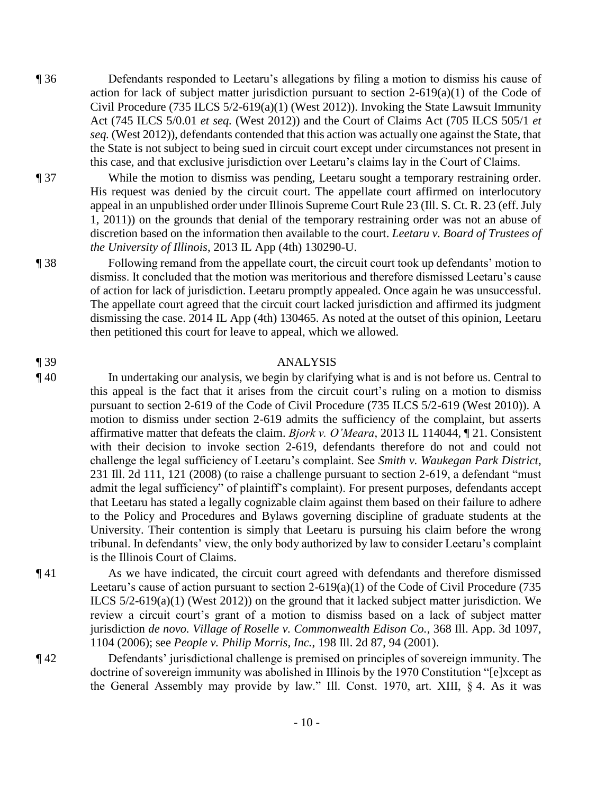- ¶ 36 Defendants responded to Leetaru's allegations by filing a motion to dismiss his cause of action for lack of subject matter jurisdiction pursuant to section  $2-619(a)(1)$  of the Code of Civil Procedure (735 ILCS 5/2-619(a)(1) (West 2012)). Invoking the State Lawsuit Immunity Act (745 ILCS 5/0.01 *et seq.* (West 2012)) and the Court of Claims Act (705 ILCS 505/1 *et seq.* (West 2012)), defendants contended that this action was actually one against the State, that the State is not subject to being sued in circuit court except under circumstances not present in this case, and that exclusive jurisdiction over Leetaru's claims lay in the Court of Claims.
- ¶ 37 While the motion to dismiss was pending, Leetaru sought a temporary restraining order. His request was denied by the circuit court. The appellate court affirmed on interlocutory appeal in an unpublished order under Illinois Supreme Court Rule 23 (Ill. S. Ct. R. 23 (eff. July 1, 2011)) on the grounds that denial of the temporary restraining order was not an abuse of discretion based on the information then available to the court. *Leetaru v. Board of Trustees of the University of Illinois*, 2013 IL App (4th) 130290-U.
- ¶ 38 Following remand from the appellate court, the circuit court took up defendants' motion to dismiss. It concluded that the motion was meritorious and therefore dismissed Leetaru's cause of action for lack of jurisdiction. Leetaru promptly appealed. Once again he was unsuccessful. The appellate court agreed that the circuit court lacked jurisdiction and affirmed its judgment dismissing the case. 2014 IL App (4th) 130465. As noted at the outset of this opinion, Leetaru then petitioned this court for leave to appeal, which we allowed.

### ¶ 39 ANALYSIS

- ¶ 40 In undertaking our analysis, we begin by clarifying what is and is not before us. Central to this appeal is the fact that it arises from the circuit court's ruling on a motion to dismiss pursuant to section 2-619 of the Code of Civil Procedure (735 ILCS 5/2-619 (West 2010)). A motion to dismiss under section 2-619 admits the sufficiency of the complaint, but asserts affirmative matter that defeats the claim. *Bjork v. O'Meara*, 2013 IL 114044, ¶ 21. Consistent with their decision to invoke section 2-619, defendants therefore do not and could not challenge the legal sufficiency of Leetaru's complaint. See *Smith v. Waukegan Park District*, 231 Ill. 2d 111, 121 (2008) (to raise a challenge pursuant to section 2-619, a defendant "must admit the legal sufficiency" of plaintiff's complaint). For present purposes, defendants accept that Leetaru has stated a legally cognizable claim against them based on their failure to adhere to the Policy and Procedures and Bylaws governing discipline of graduate students at the University. Their contention is simply that Leetaru is pursuing his claim before the wrong tribunal. In defendants' view, the only body authorized by law to consider Leetaru's complaint is the Illinois Court of Claims.
- ¶ 41 As we have indicated, the circuit court agreed with defendants and therefore dismissed Leetaru's cause of action pursuant to section 2-619(a)(1) of the Code of Civil Procedure (735 ILCS 5/2-619(a)(1) (West 2012)) on the ground that it lacked subject matter jurisdiction. We review a circuit court's grant of a motion to dismiss based on a lack of subject matter jurisdiction *de novo. Village of Roselle v. Commonwealth Edison Co.*, 368 Ill. App. 3d 1097, 1104 (2006); see *People v. Philip Morris, Inc.*, 198 Ill. 2d 87, 94 (2001).
- 

¶ 42 Defendants' jurisdictional challenge is premised on principles of sovereign immunity. The doctrine of sovereign immunity was abolished in Illinois by the 1970 Constitution "[e]xcept as the General Assembly may provide by law." Ill. Const. 1970, art. XIII, § 4. As it was

- 10 -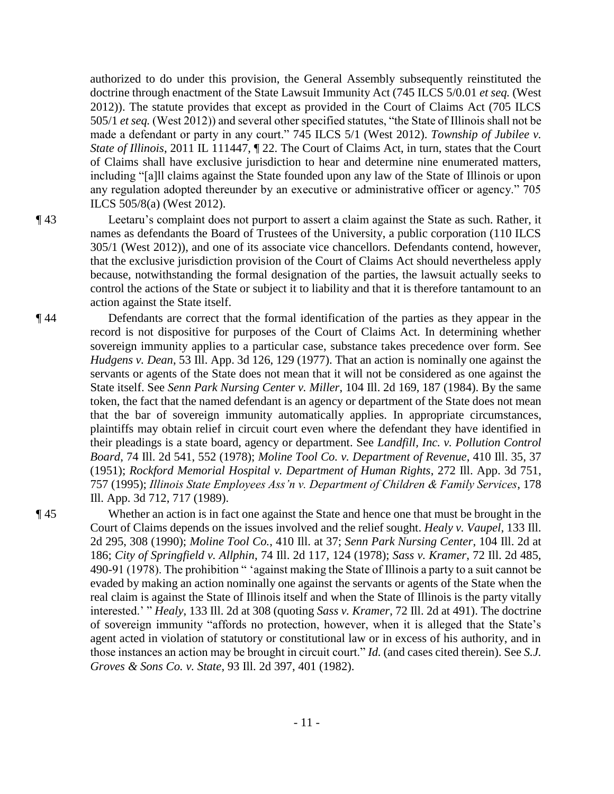authorized to do under this provision, the General Assembly subsequently reinstituted the doctrine through enactment of the State Lawsuit Immunity Act (745 ILCS 5/0.01 *et seq.* (West 2012)). The statute provides that except as provided in the Court of Claims Act (705 ILCS 505/1 *et seq.* (West 2012)) and several other specified statutes, "the State of Illinois shall not be made a defendant or party in any court." 745 ILCS 5/1 (West 2012). *Township of Jubilee v. State of Illinois*, 2011 IL 111447, ¶ 22. The Court of Claims Act, in turn, states that the Court of Claims shall have exclusive jurisdiction to hear and determine nine enumerated matters, including "[a]ll claims against the State founded upon any law of the State of Illinois or upon any regulation adopted thereunder by an executive or administrative officer or agency." 705 ILCS 505/8(a) (West 2012).

¶ 43 Leetaru's complaint does not purport to assert a claim against the State as such. Rather, it names as defendants the Board of Trustees of the University, a public corporation (110 ILCS 305/1 (West 2012)), and one of its associate vice chancellors. Defendants contend, however, that the exclusive jurisdiction provision of the Court of Claims Act should nevertheless apply because, notwithstanding the formal designation of the parties, the lawsuit actually seeks to control the actions of the State or subject it to liability and that it is therefore tantamount to an action against the State itself.

¶ 44 Defendants are correct that the formal identification of the parties as they appear in the record is not dispositive for purposes of the Court of Claims Act. In determining whether sovereign immunity applies to a particular case, substance takes precedence over form. See *Hudgens v. Dean*, 53 Ill. App. 3d 126, 129 (1977). That an action is nominally one against the servants or agents of the State does not mean that it will not be considered as one against the State itself. See *Senn Park Nursing Center v. Miller*, 104 Ill. 2d 169, 187 (1984). By the same token, the fact that the named defendant is an agency or department of the State does not mean that the bar of sovereign immunity automatically applies. In appropriate circumstances, plaintiffs may obtain relief in circuit court even where the defendant they have identified in their pleadings is a state board, agency or department. See *Landfill, Inc. v. Pollution Control Board*, 74 Ill. 2d 541, 552 (1978); *Moline Tool Co. v. Department of Revenue*, 410 Ill. 35, 37 (1951); *Rockford Memorial Hospital v. Department of Human Rights*, 272 Ill. App. 3d 751, 757 (1995); *Illinois State Employees Ass'n v. Department of Children & Family Services*, 178 Ill. App. 3d 712, 717 (1989).

¶ 45 Whether an action is in fact one against the State and hence one that must be brought in the Court of Claims depends on the issues involved and the relief sought. *Healy v. Vaupel*, 133 Ill. 2d 295, 308 (1990); *Moline Tool Co.*, 410 Ill. at 37; *Senn Park Nursing Center*, 104 Ill. 2d at 186; *City of Springfield v. Allphin*, 74 Ill. 2d 117, 124 (1978); *Sass v. Kramer*, 72 Ill. 2d 485, 490-91 (1978). The prohibition " 'against making the State of Illinois a party to a suit cannot be evaded by making an action nominally one against the servants or agents of the State when the real claim is against the State of Illinois itself and when the State of Illinois is the party vitally interested.' " *Healy*, 133 Ill. 2d at 308 (quoting *Sass v. Kramer*, 72 Ill. 2d at 491). The doctrine of sovereign immunity "affords no protection, however, when it is alleged that the State's agent acted in violation of statutory or constitutional law or in excess of his authority, and in those instances an action may be brought in circuit court." *Id.* (and cases cited therein). See *S.J. Groves & Sons Co. v. State*, 93 Ill. 2d 397, 401 (1982).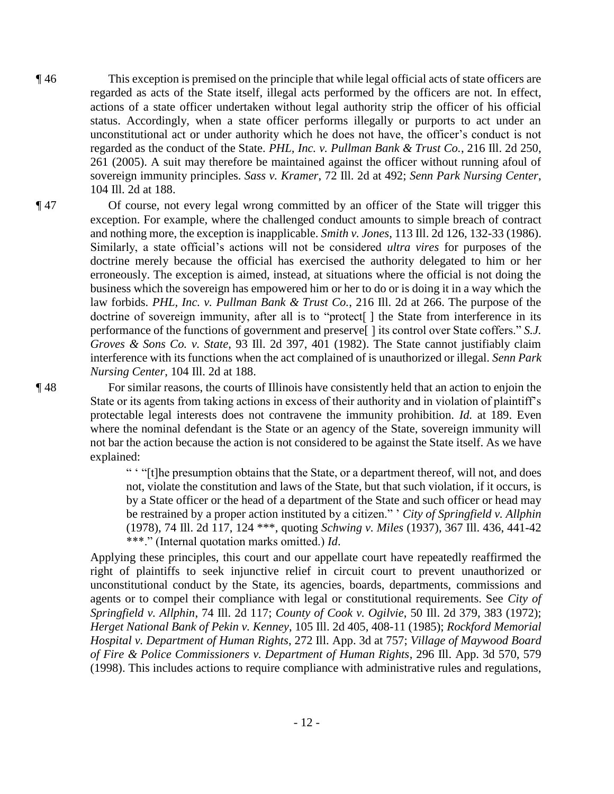- ¶ 46 This exception is premised on the principle that while legal official acts of state officers are regarded as acts of the State itself, illegal acts performed by the officers are not. In effect, actions of a state officer undertaken without legal authority strip the officer of his official status. Accordingly, when a state officer performs illegally or purports to act under an unconstitutional act or under authority which he does not have, the officer's conduct is not regarded as the conduct of the State. *PHL, Inc. v. Pullman Bank & Trust Co.*, 216 Ill. 2d 250, 261 (2005). A suit may therefore be maintained against the officer without running afoul of sovereign immunity principles. *Sass v. Kramer*, 72 Ill. 2d at 492; *Senn Park Nursing Center*, 104 Ill. 2d at 188.
- 

¶ 47 Of course, not every legal wrong committed by an officer of the State will trigger this exception. For example, where the challenged conduct amounts to simple breach of contract and nothing more, the exception is inapplicable. *Smith v. Jones*, 113 Ill. 2d 126, 132-33 (1986). Similarly, a state official's actions will not be considered *ultra vires* for purposes of the doctrine merely because the official has exercised the authority delegated to him or her erroneously. The exception is aimed, instead, at situations where the official is not doing the business which the sovereign has empowered him or her to do or is doing it in a way which the law forbids. *PHL, Inc. v. Pullman Bank & Trust Co.*, 216 Ill. 2d at 266. The purpose of the doctrine of sovereign immunity, after all is to "protect[] the State from interference in its performance of the functions of government and preserve[ ] its control over State coffers." *S.J. Groves & Sons Co. v. State*, 93 Ill. 2d 397, 401 (1982). The State cannot justifiably claim interference with its functions when the act complained of is unauthorized or illegal. *Senn Park Nursing Center*, 104 Ill. 2d at 188.

¶ 48 For similar reasons, the courts of Illinois have consistently held that an action to enjoin the State or its agents from taking actions in excess of their authority and in violation of plaintiff's protectable legal interests does not contravene the immunity prohibition. *Id.* at 189. Even where the nominal defendant is the State or an agency of the State, sovereign immunity will not bar the action because the action is not considered to be against the State itself. As we have explained:

> " ' "[t]he presumption obtains that the State, or a department thereof, will not, and does not, violate the constitution and laws of the State, but that such violation, if it occurs, is by a State officer or the head of a department of the State and such officer or head may be restrained by a proper action instituted by a citizen." ' *City of Springfield v. Allphin* (1978), 74 Ill. 2d 117, 124 \*\*\*, quoting *Schwing v. Miles* (1937), 367 Ill. 436, 441-42 \*\*\*." (Internal quotation marks omitted.) *Id*.

Applying these principles, this court and our appellate court have repeatedly reaffirmed the right of plaintiffs to seek injunctive relief in circuit court to prevent unauthorized or unconstitutional conduct by the State, its agencies, boards, departments, commissions and agents or to compel their compliance with legal or constitutional requirements. See *City of Springfield v. Allphin*, 74 Ill. 2d 117; *County of Cook v. Ogilvie*, 50 Ill. 2d 379, 383 (1972); *Herget National Bank of Pekin v. Kenney*, 105 Ill. 2d 405, 408-11 (1985); *Rockford Memorial Hospital v. Department of Human Rights*, 272 Ill. App. 3d at 757; *Village of Maywood Board of Fire & Police Commissioners v. Department of Human Rights*, 296 Ill. App. 3d 570, 579 (1998). This includes actions to require compliance with administrative rules and regulations,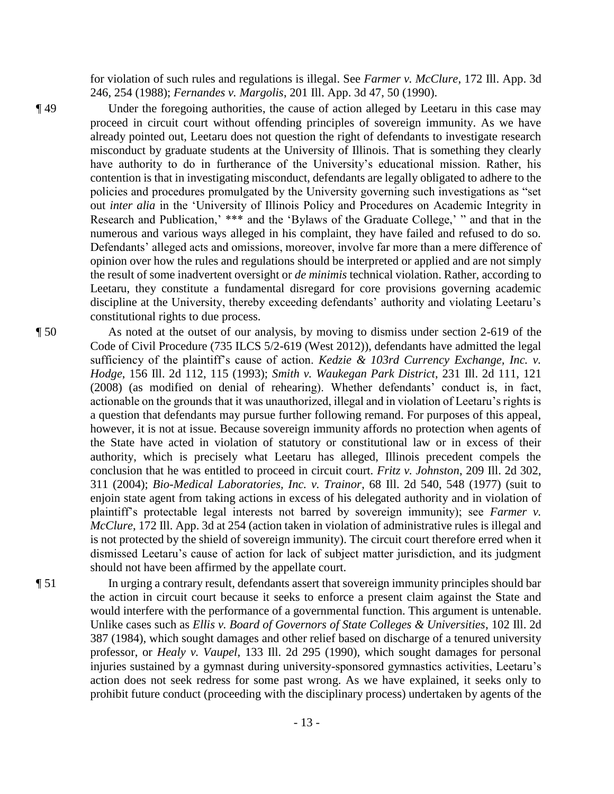for violation of such rules and regulations is illegal. See *Farmer v. McClure*, 172 Ill. App. 3d 246, 254 (1988); *Fernandes v. Margolis*, 201 Ill. App. 3d 47, 50 (1990).

- ¶ 49 Under the foregoing authorities, the cause of action alleged by Leetaru in this case may proceed in circuit court without offending principles of sovereign immunity. As we have already pointed out, Leetaru does not question the right of defendants to investigate research misconduct by graduate students at the University of Illinois. That is something they clearly have authority to do in furtherance of the University's educational mission. Rather, his contention is that in investigating misconduct, defendants are legally obligated to adhere to the policies and procedures promulgated by the University governing such investigations as "set out *inter alia* in the 'University of Illinois Policy and Procedures on Academic Integrity in Research and Publication,' \*\*\* and the 'Bylaws of the Graduate College,' " and that in the numerous and various ways alleged in his complaint, they have failed and refused to do so. Defendants' alleged acts and omissions, moreover, involve far more than a mere difference of opinion over how the rules and regulations should be interpreted or applied and are not simply the result of some inadvertent oversight or *de minimis* technical violation. Rather, according to Leetaru, they constitute a fundamental disregard for core provisions governing academic discipline at the University, thereby exceeding defendants' authority and violating Leetaru's constitutional rights to due process.
- ¶ 50 As noted at the outset of our analysis, by moving to dismiss under section 2-619 of the Code of Civil Procedure (735 ILCS 5/2-619 (West 2012)), defendants have admitted the legal sufficiency of the plaintiff's cause of action. *Kedzie & 103rd Currency Exchange, Inc. v. Hodge*, 156 Ill. 2d 112, 115 (1993); *Smith v. Waukegan Park District*, 231 Ill. 2d 111, 121 (2008) (as modified on denial of rehearing). Whether defendants' conduct is, in fact, actionable on the grounds that it was unauthorized, illegal and in violation of Leetaru's rights is a question that defendants may pursue further following remand. For purposes of this appeal, however, it is not at issue. Because sovereign immunity affords no protection when agents of the State have acted in violation of statutory or constitutional law or in excess of their authority, which is precisely what Leetaru has alleged, Illinois precedent compels the conclusion that he was entitled to proceed in circuit court. *Fritz v. Johnston*, 209 Ill. 2d 302, 311 (2004); *Bio-Medical Laboratories, Inc. v. Trainor*, 68 Ill. 2d 540, 548 (1977) (suit to enjoin state agent from taking actions in excess of his delegated authority and in violation of plaintiff's protectable legal interests not barred by sovereign immunity); see *Farmer v. McClure*, 172 Ill. App. 3d at 254 (action taken in violation of administrative rules is illegal and is not protected by the shield of sovereign immunity). The circuit court therefore erred when it dismissed Leetaru's cause of action for lack of subject matter jurisdiction, and its judgment should not have been affirmed by the appellate court.
- ¶ 51 In urging a contrary result, defendants assert that sovereign immunity principles should bar the action in circuit court because it seeks to enforce a present claim against the State and would interfere with the performance of a governmental function. This argument is untenable. Unlike cases such as *Ellis v. Board of Governors of State Colleges & Universities*, 102 Ill. 2d 387 (1984), which sought damages and other relief based on discharge of a tenured university professor, or *Healy v. Vaupel*, 133 Ill. 2d 295 (1990), which sought damages for personal injuries sustained by a gymnast during university-sponsored gymnastics activities, Leetaru's action does not seek redress for some past wrong. As we have explained, it seeks only to prohibit future conduct (proceeding with the disciplinary process) undertaken by agents of the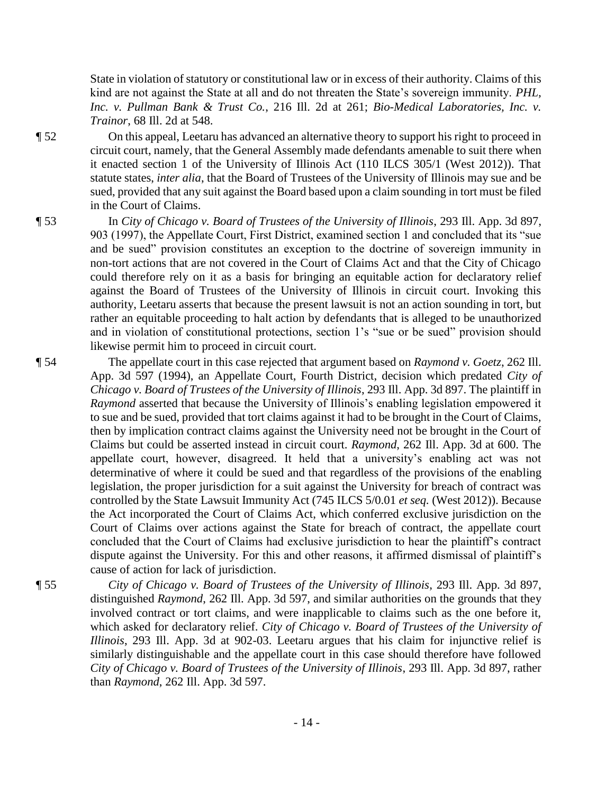State in violation of statutory or constitutional law or in excess of their authority. Claims of this kind are not against the State at all and do not threaten the State's sovereign immunity. *PHL, Inc. v. Pullman Bank & Trust Co.*, 216 Ill. 2d at 261; *Bio-Medical Laboratories, Inc. v. Trainor*, 68 Ill. 2d at 548.

¶ 52 On this appeal, Leetaru has advanced an alternative theory to support his right to proceed in circuit court, namely, that the General Assembly made defendants amenable to suit there when it enacted section 1 of the University of Illinois Act (110 ILCS 305/1 (West 2012)). That statute states, *inter alia*, that the Board of Trustees of the University of Illinois may sue and be sued, provided that any suit against the Board based upon a claim sounding in tort must be filed in the Court of Claims.

¶ 53 In *City of Chicago v. Board of Trustees of the University of Illinois*, 293 Ill. App. 3d 897, 903 (1997), the Appellate Court, First District, examined section 1 and concluded that its "sue and be sued" provision constitutes an exception to the doctrine of sovereign immunity in non-tort actions that are not covered in the Court of Claims Act and that the City of Chicago could therefore rely on it as a basis for bringing an equitable action for declaratory relief against the Board of Trustees of the University of Illinois in circuit court. Invoking this authority, Leetaru asserts that because the present lawsuit is not an action sounding in tort, but rather an equitable proceeding to halt action by defendants that is alleged to be unauthorized and in violation of constitutional protections, section 1's "sue or be sued" provision should likewise permit him to proceed in circuit court.

¶ 54 The appellate court in this case rejected that argument based on *Raymond v. Goetz*, 262 Ill. App. 3d 597 (1994), an Appellate Court, Fourth District, decision which predated *City of Chicago v. Board of Trustees of the University of Illinois*, 293 Ill. App. 3d 897. The plaintiff in *Raymond* asserted that because the University of Illinois's enabling legislation empowered it to sue and be sued, provided that tort claims against it had to be brought in the Court of Claims, then by implication contract claims against the University need not be brought in the Court of Claims but could be asserted instead in circuit court. *Raymond*, 262 Ill. App. 3d at 600. The appellate court, however, disagreed. It held that a university's enabling act was not determinative of where it could be sued and that regardless of the provisions of the enabling legislation, the proper jurisdiction for a suit against the University for breach of contract was controlled by the State Lawsuit Immunity Act (745 ILCS 5/0.01 *et seq.* (West 2012)). Because the Act incorporated the Court of Claims Act, which conferred exclusive jurisdiction on the Court of Claims over actions against the State for breach of contract, the appellate court concluded that the Court of Claims had exclusive jurisdiction to hear the plaintiff's contract dispute against the University. For this and other reasons, it affirmed dismissal of plaintiff's cause of action for lack of jurisdiction.

¶ 55 *City of Chicago v. Board of Trustees of the University of Illinois*, 293 Ill. App. 3d 897, distinguished *Raymond*, 262 Ill. App. 3d 597, and similar authorities on the grounds that they involved contract or tort claims, and were inapplicable to claims such as the one before it, which asked for declaratory relief. *City of Chicago v. Board of Trustees of the University of Illinois*, 293 Ill. App. 3d at 902-03. Leetaru argues that his claim for injunctive relief is similarly distinguishable and the appellate court in this case should therefore have followed *City of Chicago v. Board of Trustees of the University of Illinois*, 293 Ill. App. 3d 897, rather than *Raymond*, 262 Ill. App. 3d 597.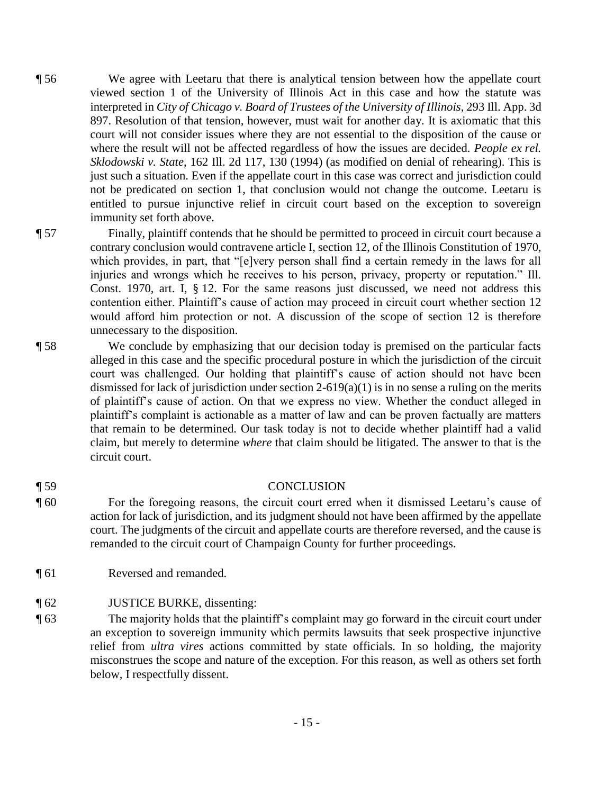- ¶ 56 We agree with Leetaru that there is analytical tension between how the appellate court viewed section 1 of the University of Illinois Act in this case and how the statute was interpreted in *City of Chicago v. Board of Trustees of the University of Illinois*, 293 Ill. App. 3d 897. Resolution of that tension, however, must wait for another day. It is axiomatic that this court will not consider issues where they are not essential to the disposition of the cause or where the result will not be affected regardless of how the issues are decided. *People ex rel. Sklodowski v. State*, 162 Ill. 2d 117, 130 (1994) (as modified on denial of rehearing). This is just such a situation. Even if the appellate court in this case was correct and jurisdiction could not be predicated on section 1, that conclusion would not change the outcome. Leetaru is entitled to pursue injunctive relief in circuit court based on the exception to sovereign immunity set forth above.
- ¶ 57 Finally, plaintiff contends that he should be permitted to proceed in circuit court because a contrary conclusion would contravene article I, section 12, of the Illinois Constitution of 1970, which provides, in part, that "[e]very person shall find a certain remedy in the laws for all injuries and wrongs which he receives to his person, privacy, property or reputation." Ill. Const. 1970, art. I, § 12. For the same reasons just discussed, we need not address this contention either. Plaintiff's cause of action may proceed in circuit court whether section 12 would afford him protection or not. A discussion of the scope of section 12 is therefore unnecessary to the disposition.
- ¶ 58 We conclude by emphasizing that our decision today is premised on the particular facts alleged in this case and the specific procedural posture in which the jurisdiction of the circuit court was challenged. Our holding that plaintiff's cause of action should not have been dismissed for lack of jurisdiction under section  $2-619(a)(1)$  is in no sense a ruling on the merits of plaintiff's cause of action. On that we express no view. Whether the conduct alleged in plaintiff's complaint is actionable as a matter of law and can be proven factually are matters that remain to be determined. Our task today is not to decide whether plaintiff had a valid claim, but merely to determine *where* that claim should be litigated. The answer to that is the circuit court.

## ¶ 59 CONCLUSION

- ¶ 60 For the foregoing reasons, the circuit court erred when it dismissed Leetaru's cause of action for lack of jurisdiction, and its judgment should not have been affirmed by the appellate court. The judgments of the circuit and appellate courts are therefore reversed, and the cause is remanded to the circuit court of Champaign County for further proceedings.
- ¶ 61 Reversed and remanded.

### ¶ 62 JUSTICE BURKE, dissenting:

¶ 63 The majority holds that the plaintiff's complaint may go forward in the circuit court under an exception to sovereign immunity which permits lawsuits that seek prospective injunctive relief from *ultra vires* actions committed by state officials. In so holding, the majority misconstrues the scope and nature of the exception. For this reason, as well as others set forth below, I respectfully dissent.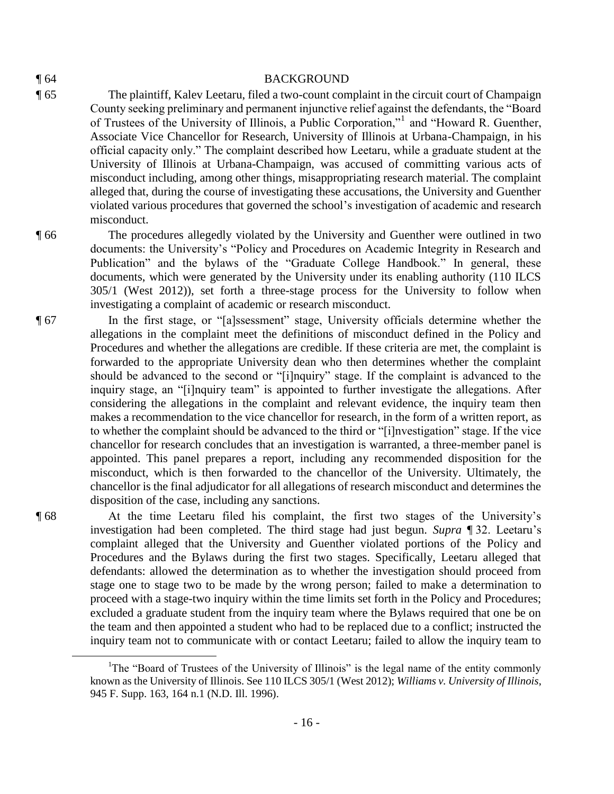#### ¶ 64 BACKGROUND

- ¶ 65 The plaintiff, Kalev Leetaru, filed a two-count complaint in the circuit court of Champaign County seeking preliminary and permanent injunctive relief against the defendants, the "Board of Trustees of the University of Illinois, a Public Corporation,"<sup>1</sup> and "Howard R. Guenther, Associate Vice Chancellor for Research, University of Illinois at Urbana-Champaign, in his official capacity only." The complaint described how Leetaru, while a graduate student at the University of Illinois at Urbana-Champaign, was accused of committing various acts of misconduct including, among other things, misappropriating research material. The complaint alleged that, during the course of investigating these accusations, the University and Guenther violated various procedures that governed the school's investigation of academic and research misconduct.
- ¶ 66 The procedures allegedly violated by the University and Guenther were outlined in two documents: the University's "Policy and Procedures on Academic Integrity in Research and Publication" and the bylaws of the "Graduate College Handbook." In general, these documents, which were generated by the University under its enabling authority (110 ILCS 305/1 (West 2012)), set forth a three-stage process for the University to follow when investigating a complaint of academic or research misconduct.
- ¶ 67 In the first stage, or "[a]ssessment" stage, University officials determine whether the allegations in the complaint meet the definitions of misconduct defined in the Policy and Procedures and whether the allegations are credible. If these criteria are met, the complaint is forwarded to the appropriate University dean who then determines whether the complaint should be advanced to the second or "[i]nquiry" stage. If the complaint is advanced to the inquiry stage, an "[i]nquiry team" is appointed to further investigate the allegations. After considering the allegations in the complaint and relevant evidence, the inquiry team then makes a recommendation to the vice chancellor for research, in the form of a written report, as to whether the complaint should be advanced to the third or "[i]nvestigation" stage. If the vice chancellor for research concludes that an investigation is warranted, a three-member panel is appointed. This panel prepares a report, including any recommended disposition for the misconduct, which is then forwarded to the chancellor of the University. Ultimately, the chancellor is the final adjudicator for all allegations of research misconduct and determines the disposition of the case, including any sanctions.
- ¶ 68 At the time Leetaru filed his complaint, the first two stages of the University's investigation had been completed. The third stage had just begun. *Supra* ¶ 32. Leetaru's complaint alleged that the University and Guenther violated portions of the Policy and Procedures and the Bylaws during the first two stages. Specifically, Leetaru alleged that defendants: allowed the determination as to whether the investigation should proceed from stage one to stage two to be made by the wrong person; failed to make a determination to proceed with a stage-two inquiry within the time limits set forth in the Policy and Procedures; excluded a graduate student from the inquiry team where the Bylaws required that one be on the team and then appointed a student who had to be replaced due to a conflict; instructed the inquiry team not to communicate with or contact Leetaru; failed to allow the inquiry team to  $\overline{a}$

<sup>&</sup>lt;sup>1</sup>The "Board of Trustees of the University of Illinois" is the legal name of the entity commonly known as the University of Illinois. See 110 ILCS 305/1 (West 2012); *Williams v. University of Illinois*, 945 F. Supp. 163, 164 n.1 (N.D. Ill. 1996).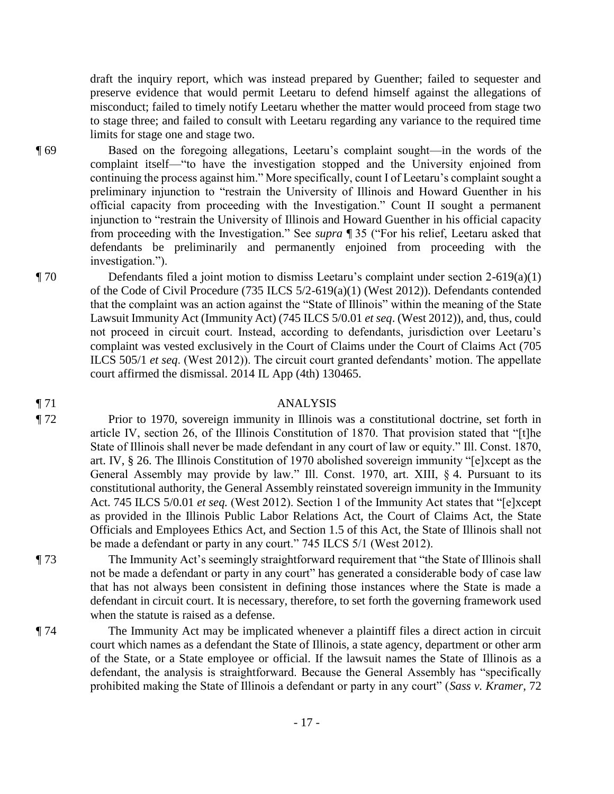draft the inquiry report, which was instead prepared by Guenther; failed to sequester and preserve evidence that would permit Leetaru to defend himself against the allegations of misconduct; failed to timely notify Leetaru whether the matter would proceed from stage two to stage three; and failed to consult with Leetaru regarding any variance to the required time limits for stage one and stage two.

¶ 69 Based on the foregoing allegations, Leetaru's complaint sought—in the words of the complaint itself—"to have the investigation stopped and the University enjoined from continuing the process against him." More specifically, count I of Leetaru's complaint sought a preliminary injunction to "restrain the University of Illinois and Howard Guenther in his official capacity from proceeding with the Investigation." Count II sought a permanent injunction to "restrain the University of Illinois and Howard Guenther in his official capacity from proceeding with the Investigation." See *supra* ¶ 35 ("For his relief, Leetaru asked that defendants be preliminarily and permanently enjoined from proceeding with the investigation.").

 $\P$  70 Defendants filed a joint motion to dismiss Leetaru's complaint under section 2-619(a)(1) of the Code of Civil Procedure (735 ILCS 5/2-619(a)(1) (West 2012)). Defendants contended that the complaint was an action against the "State of Illinois" within the meaning of the State Lawsuit Immunity Act (Immunity Act) (745 ILCS 5/0.01 *et seq*. (West 2012)), and, thus, could not proceed in circuit court. Instead, according to defendants, jurisdiction over Leetaru's complaint was vested exclusively in the Court of Claims under the Court of Claims Act (705 ILCS 505/1 *et seq*. (West 2012)). The circuit court granted defendants' motion. The appellate court affirmed the dismissal. 2014 IL App (4th) 130465.

#### ¶ 71 ANALYSIS

¶ 72 Prior to 1970, sovereign immunity in Illinois was a constitutional doctrine, set forth in article IV, section 26, of the Illinois Constitution of 1870. That provision stated that "[t]he State of Illinois shall never be made defendant in any court of law or equity." Ill. Const. 1870, art. IV, § 26. The Illinois Constitution of 1970 abolished sovereign immunity "[e]xcept as the General Assembly may provide by law." Ill. Const. 1970, art. XIII, § 4. Pursuant to its constitutional authority, the General Assembly reinstated sovereign immunity in the Immunity Act. 745 ILCS 5/0.01 *et seq.* (West 2012). Section 1 of the Immunity Act states that "[e]xcept as provided in the Illinois Public Labor Relations Act, the Court of Claims Act, the State Officials and Employees Ethics Act, and Section 1.5 of this Act, the State of Illinois shall not be made a defendant or party in any court." 745 ILCS 5/1 (West 2012).

- ¶ 73 The Immunity Act's seemingly straightforward requirement that "the State of Illinois shall not be made a defendant or party in any court" has generated a considerable body of case law that has not always been consistent in defining those instances where the State is made a defendant in circuit court. It is necessary, therefore, to set forth the governing framework used when the statute is raised as a defense.
- ¶ 74 The Immunity Act may be implicated whenever a plaintiff files a direct action in circuit court which names as a defendant the State of Illinois, a state agency, department or other arm of the State, or a State employee or official. If the lawsuit names the State of Illinois as a defendant, the analysis is straightforward. Because the General Assembly has "specifically prohibited making the State of Illinois a defendant or party in any court" (*Sass v. Kramer*, 72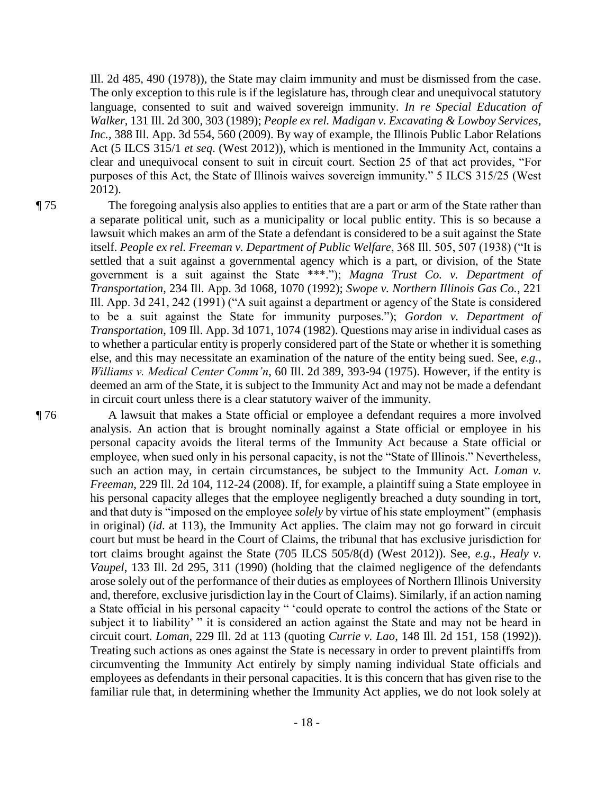Ill. 2d 485, 490 (1978)), the State may claim immunity and must be dismissed from the case. The only exception to this rule is if the legislature has, through clear and unequivocal statutory language, consented to suit and waived sovereign immunity. *In re Special Education of Walker*, 131 Ill. 2d 300, 303 (1989); *People ex rel. Madigan v. Excavating & Lowboy Services, Inc.*, 388 Ill. App. 3d 554, 560 (2009). By way of example, the Illinois Public Labor Relations Act (5 ILCS 315/1 *et seq*. (West 2012)), which is mentioned in the Immunity Act, contains a clear and unequivocal consent to suit in circuit court. Section 25 of that act provides, "For purposes of this Act, the State of Illinois waives sovereign immunity." 5 ILCS 315/25 (West 2012).

¶ 75 The foregoing analysis also applies to entities that are a part or arm of the State rather than a separate political unit, such as a municipality or local public entity. This is so because a lawsuit which makes an arm of the State a defendant is considered to be a suit against the State itself. *People ex rel. Freeman v. Department of Public Welfare*, 368 Ill. 505, 507 (1938) ("It is settled that a suit against a governmental agency which is a part, or division, of the State government is a suit against the State \*\*\*."); *Magna Trust Co. v. Department of Transportation*, 234 Ill. App. 3d 1068, 1070 (1992); *Swope v. Northern Illinois Gas Co.*, 221 Ill. App. 3d 241, 242 (1991) ("A suit against a department or agency of the State is considered to be a suit against the State for immunity purposes."); *Gordon v. Department of Transportation*, 109 Ill. App. 3d 1071, 1074 (1982). Questions may arise in individual cases as to whether a particular entity is properly considered part of the State or whether it is something else, and this may necessitate an examination of the nature of the entity being sued. See, *e.g.*, *Williams v. Medical Center Comm'n*, 60 Ill. 2d 389, 393-94 (1975). However, if the entity is deemed an arm of the State, it is subject to the Immunity Act and may not be made a defendant in circuit court unless there is a clear statutory waiver of the immunity.

¶ 76 A lawsuit that makes a State official or employee a defendant requires a more involved analysis. An action that is brought nominally against a State official or employee in his personal capacity avoids the literal terms of the Immunity Act because a State official or employee, when sued only in his personal capacity, is not the "State of Illinois." Nevertheless, such an action may, in certain circumstances, be subject to the Immunity Act. *Loman v. Freeman*, 229 Ill. 2d 104, 112-24 (2008). If, for example, a plaintiff suing a State employee in his personal capacity alleges that the employee negligently breached a duty sounding in tort, and that duty is "imposed on the employee *solely* by virtue of his state employment" (emphasis in original) (*id*. at 113), the Immunity Act applies. The claim may not go forward in circuit court but must be heard in the Court of Claims, the tribunal that has exclusive jurisdiction for tort claims brought against the State (705 ILCS 505/8(d) (West 2012)). See, *e.g.*, *Healy v. Vaupel*, 133 Ill. 2d 295, 311 (1990) (holding that the claimed negligence of the defendants arose solely out of the performance of their duties as employees of Northern Illinois University and, therefore, exclusive jurisdiction lay in the Court of Claims). Similarly, if an action naming a State official in his personal capacity " 'could operate to control the actions of the State or subject it to liability' " it is considered an action against the State and may not be heard in circuit court. *Loman*, 229 Ill. 2d at 113 (quoting *Currie v. Lao*, 148 Ill. 2d 151, 158 (1992)). Treating such actions as ones against the State is necessary in order to prevent plaintiffs from circumventing the Immunity Act entirely by simply naming individual State officials and employees as defendants in their personal capacities. It is this concern that has given rise to the familiar rule that, in determining whether the Immunity Act applies, we do not look solely at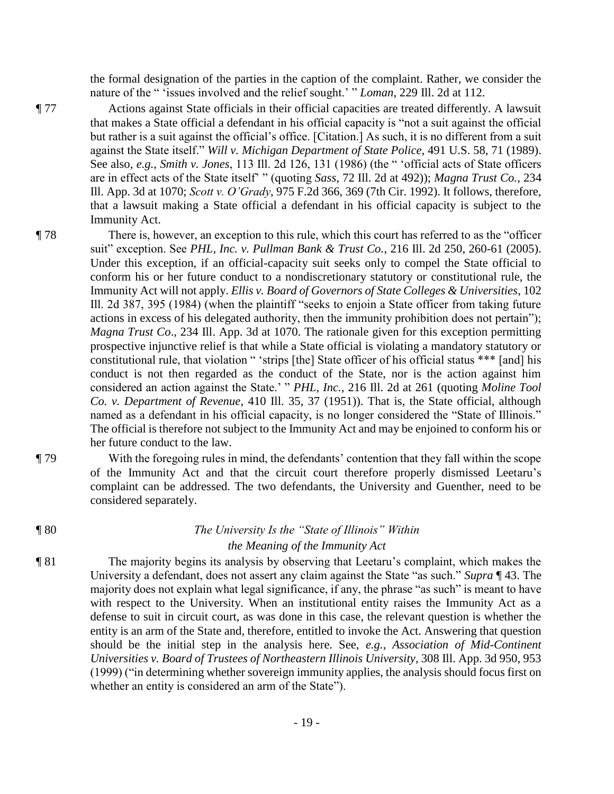the formal designation of the parties in the caption of the complaint. Rather, we consider the nature of the " 'issues involved and the relief sought.' " *Loman*, 229 Ill. 2d at 112.

¶ 77 Actions against State officials in their official capacities are treated differently. A lawsuit that makes a State official a defendant in his official capacity is "not a suit against the official but rather is a suit against the official's office. [Citation.] As such, it is no different from a suit against the State itself." *Will v. Michigan Department of State Police*, 491 U.S. 58, 71 (1989). See also, *e.g.*, *Smith v. Jones*, 113 Ill. 2d 126, 131 (1986) (the " 'official acts of State officers are in effect acts of the State itself' " (quoting *Sass*, 72 Ill. 2d at 492)); *Magna Trust Co.*, 234 Ill. App. 3d at 1070; *Scott v. O'Grady*, 975 F.2d 366, 369 (7th Cir. 1992). It follows, therefore, that a lawsuit making a State official a defendant in his official capacity is subject to the Immunity Act.

- ¶ 78 There is, however, an exception to this rule, which this court has referred to as the "officer suit" exception. See *PHL, Inc. v. Pullman Bank & Trust Co.*, 216 Ill. 2d 250, 260-61 (2005). Under this exception, if an official-capacity suit seeks only to compel the State official to conform his or her future conduct to a nondiscretionary statutory or constitutional rule, the Immunity Act will not apply. *Ellis v. Board of Governors of State Colleges & Universities*, 102 Ill. 2d 387, 395 (1984) (when the plaintiff "seeks to enjoin a State officer from taking future actions in excess of his delegated authority, then the immunity prohibition does not pertain"); *Magna Trust Co*., 234 Ill. App. 3d at 1070. The rationale given for this exception permitting prospective injunctive relief is that while a State official is violating a mandatory statutory or constitutional rule, that violation " 'strips [the] State officer of his official status \*\*\* [and] his conduct is not then regarded as the conduct of the State, nor is the action against him considered an action against the State.' " *PHL, Inc.*, 216 Ill. 2d at 261 (quoting *Moline Tool Co. v. Department of Revenue*, 410 Ill. 35, 37 (1951)). That is, the State official, although named as a defendant in his official capacity, is no longer considered the "State of Illinois." The official is therefore not subject to the Immunity Act and may be enjoined to conform his or her future conduct to the law.
- ¶ 79 With the foregoing rules in mind, the defendants' contention that they fall within the scope of the Immunity Act and that the circuit court therefore properly dismissed Leetaru's complaint can be addressed. The two defendants, the University and Guenther, need to be considered separately.

# ¶ 80 *The University Is the "State of Illinois" Within the Meaning of the Immunity Act*

¶ 81 The majority begins its analysis by observing that Leetaru's complaint, which makes the University a defendant, does not assert any claim against the State "as such." *Supra* ¶ 43. The majority does not explain what legal significance, if any, the phrase "as such" is meant to have with respect to the University. When an institutional entity raises the Immunity Act as a defense to suit in circuit court, as was done in this case, the relevant question is whether the entity is an arm of the State and, therefore, entitled to invoke the Act. Answering that question should be the initial step in the analysis here. See, *e.g.*, *Association of Mid-Continent Universities v. Board of Trustees of Northeastern Illinois University*, 308 Ill. App. 3d 950, 953 (1999) ("in determining whether sovereign immunity applies, the analysis should focus first on whether an entity is considered an arm of the State").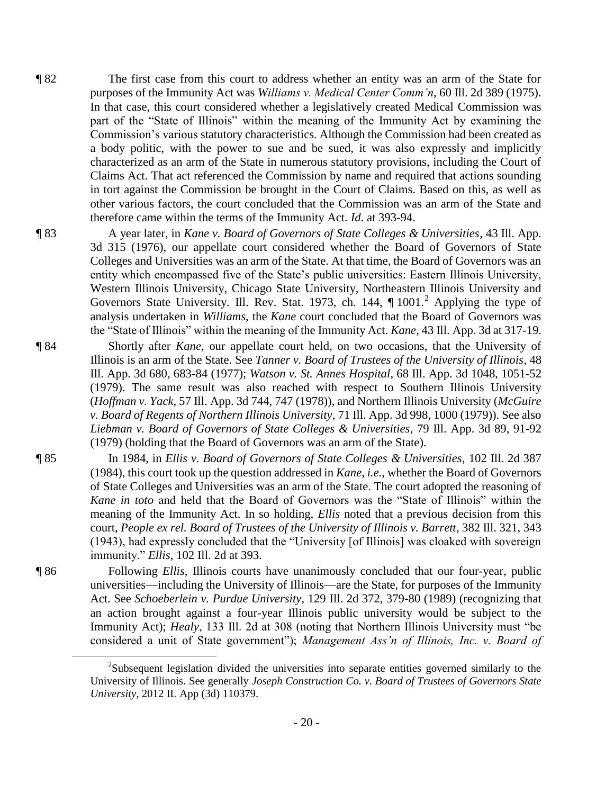- ¶ 82 The first case from this court to address whether an entity was an arm of the State for purposes of the Immunity Act was *Williams v. Medical Center Comm'n*, 60 Ill. 2d 389 (1975). In that case, this court considered whether a legislatively created Medical Commission was part of the "State of Illinois" within the meaning of the Immunity Act by examining the Commission's various statutory characteristics. Although the Commission had been created as a body politic, with the power to sue and be sued, it was also expressly and implicitly characterized as an arm of the State in numerous statutory provisions, including the Court of Claims Act. That act referenced the Commission by name and required that actions sounding in tort against the Commission be brought in the Court of Claims. Based on this, as well as other various factors, the court concluded that the Commission was an arm of the State and therefore came within the terms of the Immunity Act. *Id*. at 393-94.
- ¶ 83 A year later, in *Kane v. Board of Governors of State Colleges & Universities*, 43 Ill. App. 3d 315 (1976), our appellate court considered whether the Board of Governors of State Colleges and Universities was an arm of the State. At that time, the Board of Governors was an entity which encompassed five of the State's public universities: Eastern Illinois University, Western Illinois University, Chicago State University, Northeastern Illinois University and Governors State University. Ill. Rev. Stat. 1973, ch. 144, ¶ 1001.<sup>2</sup> Applying the type of analysis undertaken in *Williams*, the *Kane* court concluded that the Board of Governors was the "State of Illinois" within the meaning of the Immunity Act. *Kane*, 43 Ill. App. 3d at 317-19.
- ¶ 84 Shortly after *Kane*, our appellate court held, on two occasions, that the University of Illinois is an arm of the State. See *Tanner v. Board of Trustees of the University of Illinois*, 48 Ill. App. 3d 680, 683-84 (1977); *Watson v. St. Annes Hospital*, 68 Ill. App. 3d 1048, 1051-52 (1979). The same result was also reached with respect to Southern Illinois University (*Hoffman v. Yack*, 57 Ill. App. 3d 744, 747 (1978)), and Northern Illinois University (*McGuire v. Board of Regents of Northern Illinois University*, 71 Ill. App. 3d 998, 1000 (1979)). See also *Liebman v. Board of Governors of State Colleges & Universities*, 79 Ill. App. 3d 89, 91-92 (1979) (holding that the Board of Governors was an arm of the State).
- ¶ 85 In 1984, in *Ellis v. Board of Governors of State Colleges & Universities*, 102 Ill. 2d 387 (1984), this court took up the question addressed in *Kane*, *i.e.*, whether the Board of Governors of State Colleges and Universities was an arm of the State. The court adopted the reasoning of *Kane in toto* and held that the Board of Governors was the "State of Illinois" within the meaning of the Immunity Act. In so holding, *Ellis* noted that a previous decision from this court, *People ex rel. Board of Trustees of the University of Illinois v. Barrett*, 382 Ill. 321, 343 (1943), had expressly concluded that the "University [of Illinois] was cloaked with sovereign immunity." *Ellis*, 102 Ill. 2d at 393.
- ¶ 86 Following *Ellis*, Illinois courts have unanimously concluded that our four-year, public universities—including the University of Illinois—are the State, for purposes of the Immunity Act. See *Schoeberlein v. Purdue University*, 129 Ill. 2d 372, 379-80 (1989) (recognizing that an action brought against a four-year Illinois public university would be subject to the Immunity Act); *Healy*, 133 Ill. 2d at 308 (noting that Northern Illinois University must "be considered a unit of State government"); *Management Ass'n of Illinois, Inc. v. Board of*

 $\overline{a}$ 

<sup>&</sup>lt;sup>2</sup>Subsequent legislation divided the universities into separate entities governed similarly to the University of Illinois. See generally *Joseph Construction Co. v. Board of Trustees of Governors State University*, 2012 IL App (3d) 110379.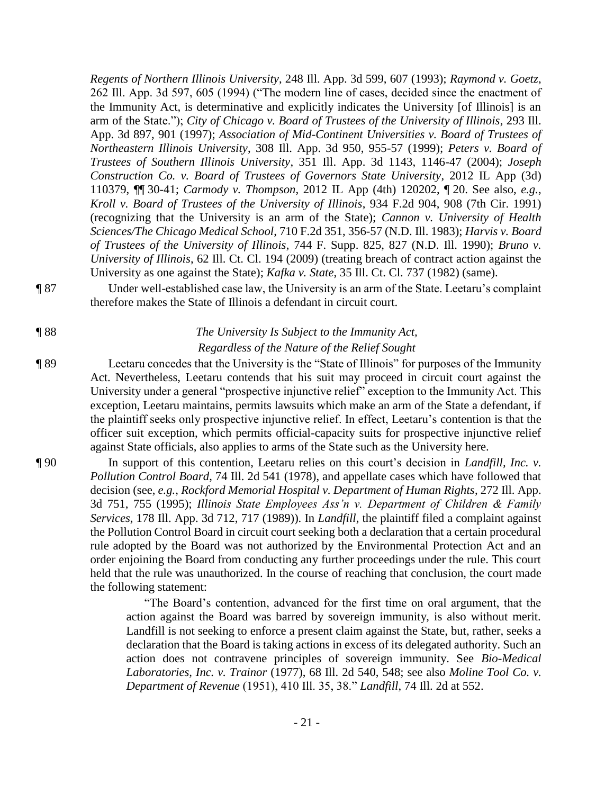*Regents of Northern Illinois University*, 248 Ill. App. 3d 599, 607 (1993); *Raymond v. Goetz*, 262 Ill. App. 3d 597, 605 (1994) ("The modern line of cases, decided since the enactment of the Immunity Act, is determinative and explicitly indicates the University [of Illinois] is an arm of the State."); *City of Chicago v. Board of Trustees of the University of Illinois*, 293 Ill. App. 3d 897, 901 (1997); *Association of Mid-Continent Universities v. Board of Trustees of Northeastern Illinois University*, 308 Ill. App. 3d 950, 955-57 (1999); *Peters v. Board of Trustees of Southern Illinois University*, 351 Ill. App. 3d 1143, 1146-47 (2004); *Joseph Construction Co. v. Board of Trustees of Governors State University*, 2012 IL App (3d) 110379, ¶¶ 30-41; *Carmody v. Thompson*, 2012 IL App (4th) 120202, ¶ 20. See also, *e.g.*, *Kroll v. Board of Trustees of the University of Illinois*, 934 F.2d 904, 908 (7th Cir. 1991) (recognizing that the University is an arm of the State); *Cannon v. University of Health Sciences/The Chicago Medical School*, 710 F.2d 351, 356-57 (N.D. Ill. 1983); *Harvis v. Board of Trustees of the University of Illinois*, 744 F. Supp. 825, 827 (N.D. Ill. 1990); *Bruno v. University of Illinois*, 62 Ill. Ct. Cl. 194 (2009) (treating breach of contract action against the University as one against the State); *Kafka v. State*, 35 Ill. Ct. Cl. 737 (1982) (same).

¶ 87 Under well-established case law, the University is an arm of the State. Leetaru's complaint therefore makes the State of Illinois a defendant in circuit court.

# ¶ 88 *The University Is Subject to the Immunity Act, Regardless of the Nature of the Relief Sought*

¶ 89 Leetaru concedes that the University is the "State of Illinois" for purposes of the Immunity Act. Nevertheless, Leetaru contends that his suit may proceed in circuit court against the University under a general "prospective injunctive relief" exception to the Immunity Act. This exception, Leetaru maintains, permits lawsuits which make an arm of the State a defendant, if the plaintiff seeks only prospective injunctive relief. In effect, Leetaru's contention is that the officer suit exception, which permits official-capacity suits for prospective injunctive relief against State officials, also applies to arms of the State such as the University here.

¶ 90 In support of this contention, Leetaru relies on this court's decision in *Landfill, Inc. v. Pollution Control Board*, 74 Ill. 2d 541 (1978), and appellate cases which have followed that decision (see, *e.g.*, *Rockford Memorial Hospital v. Department of Human Rights*, 272 Ill. App. 3d 751, 755 (1995); *Illinois State Employees Ass'n v. Department of Children & Family Services*, 178 Ill. App. 3d 712, 717 (1989)). In *Landfill*, the plaintiff filed a complaint against the Pollution Control Board in circuit court seeking both a declaration that a certain procedural rule adopted by the Board was not authorized by the Environmental Protection Act and an order enjoining the Board from conducting any further proceedings under the rule. This court held that the rule was unauthorized. In the course of reaching that conclusion, the court made the following statement:

> "The Board's contention, advanced for the first time on oral argument, that the action against the Board was barred by sovereign immunity, is also without merit. Landfill is not seeking to enforce a present claim against the State, but, rather, seeks a declaration that the Board is taking actions in excess of its delegated authority. Such an action does not contravene principles of sovereign immunity. See *Bio-Medical Laboratories, Inc. v. Trainor* (1977), 68 Ill. 2d 540, 548; see also *Moline Tool Co. v. Department of Revenue* (1951), 410 Ill. 35, 38." *Landfill*, 74 Ill. 2d at 552.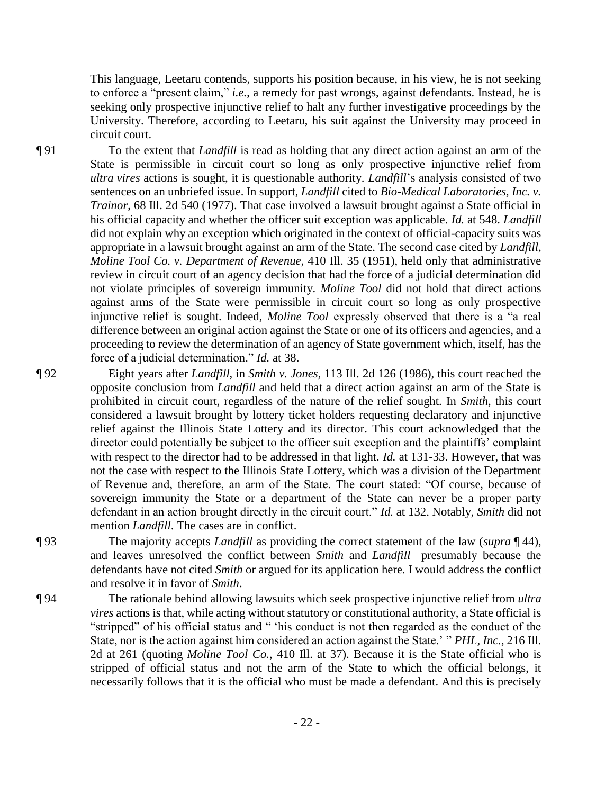This language, Leetaru contends, supports his position because, in his view, he is not seeking to enforce a "present claim," *i.e.*, a remedy for past wrongs, against defendants. Instead, he is seeking only prospective injunctive relief to halt any further investigative proceedings by the University. Therefore, according to Leetaru, his suit against the University may proceed in circuit court.

¶ 91 To the extent that *Landfill* is read as holding that any direct action against an arm of the State is permissible in circuit court so long as only prospective injunctive relief from *ultra vires* actions is sought, it is questionable authority. *Landfill*'s analysis consisted of two sentences on an unbriefed issue. In support, *Landfill* cited to *Bio-Medical Laboratories, Inc. v. Trainor*, 68 Ill. 2d 540 (1977). That case involved a lawsuit brought against a State official in his official capacity and whether the officer suit exception was applicable. *Id.* at 548. *Landfill* did not explain why an exception which originated in the context of official-capacity suits was appropriate in a lawsuit brought against an arm of the State. The second case cited by *Landfill*, *Moline Tool Co. v. Department of Revenue*, 410 Ill. 35 (1951), held only that administrative review in circuit court of an agency decision that had the force of a judicial determination did not violate principles of sovereign immunity. *Moline Tool* did not hold that direct actions against arms of the State were permissible in circuit court so long as only prospective injunctive relief is sought. Indeed, *Moline Tool* expressly observed that there is a "a real difference between an original action against the State or one of its officers and agencies, and a proceeding to review the determination of an agency of State government which, itself, has the force of a judicial determination." *Id.* at 38.

¶ 92 Eight years after *Landfill*, in *Smith v. Jones*, 113 Ill. 2d 126 (1986), this court reached the opposite conclusion from *Landfill* and held that a direct action against an arm of the State is prohibited in circuit court, regardless of the nature of the relief sought. In *Smith*, this court considered a lawsuit brought by lottery ticket holders requesting declaratory and injunctive relief against the Illinois State Lottery and its director. This court acknowledged that the director could potentially be subject to the officer suit exception and the plaintiffs' complaint with respect to the director had to be addressed in that light. *Id.* at 131-33. However, that was not the case with respect to the Illinois State Lottery, which was a division of the Department of Revenue and, therefore, an arm of the State. The court stated: "Of course, because of sovereign immunity the State or a department of the State can never be a proper party defendant in an action brought directly in the circuit court." *Id.* at 132. Notably, *Smith* did not mention *Landfill*. The cases are in conflict.

¶ 93 The majority accepts *Landfill* as providing the correct statement of the law (*supra* ¶ 44), and leaves unresolved the conflict between *Smith* and *Landfill—*presumably because the defendants have not cited *Smith* or argued for its application here. I would address the conflict and resolve it in favor of *Smith*.

¶ 94 The rationale behind allowing lawsuits which seek prospective injunctive relief from *ultra vires* actions is that, while acting without statutory or constitutional authority, a State official is "stripped" of his official status and " 'his conduct is not then regarded as the conduct of the State, nor is the action against him considered an action against the State.' " *PHL, Inc.*, 216 Ill. 2d at 261 (quoting *Moline Tool Co.*, 410 Ill. at 37). Because it is the State official who is stripped of official status and not the arm of the State to which the official belongs, it necessarily follows that it is the official who must be made a defendant. And this is precisely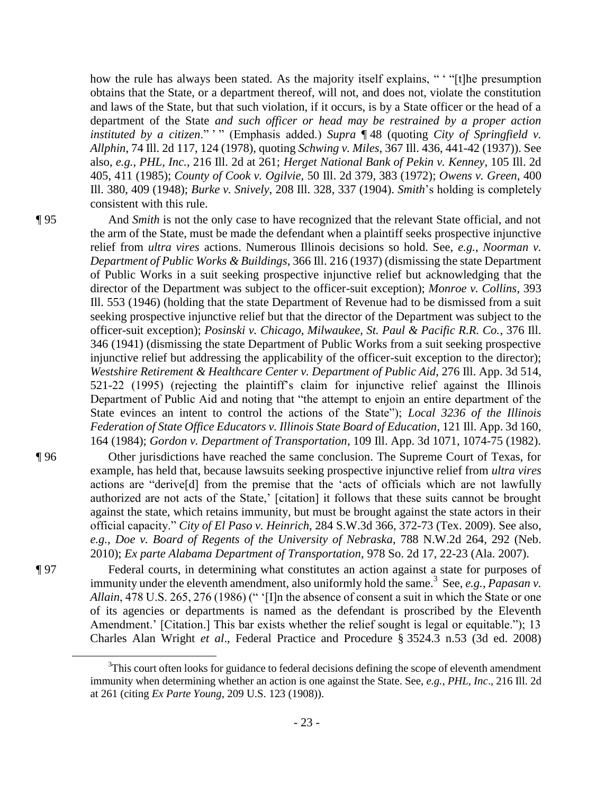how the rule has always been stated. As the majority itself explains, " ' "[t]he presumption obtains that the State, or a department thereof, will not, and does not, violate the constitution and laws of the State, but that such violation, if it occurs, is by a State officer or the head of a department of the State *and such officer or head may be restrained by a proper action instituted by a citizen.*" " (Emphasis added.) *Supra* 148 (quoting *City of Springfield v. Allphin*, 74 Ill. 2d 117, 124 (1978), quoting *Schwing v. Miles*, 367 Ill. 436, 441-42 (1937)). See also, *e.g.*, *PHL, Inc.*, 216 Ill. 2d at 261; *Herget National Bank of Pekin v. Kenney*, 105 Ill. 2d 405, 411 (1985); *County of Cook v. Ogilvie*, 50 Ill. 2d 379, 383 (1972); *Owens v. Green*, 400 Ill. 380, 409 (1948); *Burke v. Snively*, 208 Ill. 328, 337 (1904). *Smith*'s holding is completely consistent with this rule.

 $\overline{a}$ 

¶ 95 And *Smith* is not the only case to have recognized that the relevant State official, and not the arm of the State, must be made the defendant when a plaintiff seeks prospective injunctive relief from *ultra vires* actions. Numerous Illinois decisions so hold. See, *e.g.*, *Noorman v. Department of Public Works & Buildings*, 366 Ill. 216 (1937) (dismissing the state Department of Public Works in a suit seeking prospective injunctive relief but acknowledging that the director of the Department was subject to the officer-suit exception); *Monroe v. Collins*, 393 Ill. 553 (1946) (holding that the state Department of Revenue had to be dismissed from a suit seeking prospective injunctive relief but that the director of the Department was subject to the officer-suit exception); *Posinski v. Chicago, Milwaukee, St. Paul & Pacific R.R. Co.*, 376 Ill. 346 (1941) (dismissing the state Department of Public Works from a suit seeking prospective injunctive relief but addressing the applicability of the officer-suit exception to the director); *Westshire Retirement & Healthcare Center v. Department of Public Aid*, 276 Ill. App. 3d 514, 521-22 (1995) (rejecting the plaintiff's claim for injunctive relief against the Illinois Department of Public Aid and noting that "the attempt to enjoin an entire department of the State evinces an intent to control the actions of the State"); *Local 3236 of the Illinois Federation of State Office Educators v. Illinois State Board of Education*, 121 Ill. App. 3d 160, 164 (1984); *Gordon v. Department of Transportation*, 109 Ill. App. 3d 1071, 1074-75 (1982).

- ¶ 96 Other jurisdictions have reached the same conclusion. The Supreme Court of Texas, for example, has held that, because lawsuits seeking prospective injunctive relief from *ultra vires* actions are "derive[d] from the premise that the 'acts of officials which are not lawfully authorized are not acts of the State,' [citation] it follows that these suits cannot be brought against the state, which retains immunity, but must be brought against the state actors in their official capacity." *City of El Paso v. Heinrich*, 284 S.W.3d 366, 372-73 (Tex. 2009). See also, *e.g.*, *Doe v. Board of Regents of the University of Nebraska*, 788 N.W.2d 264, 292 (Neb. 2010); *Ex parte Alabama Department of Transportation*, 978 So. 2d 17, 22-23 (Ala. 2007).
- ¶ 97 Federal courts, in determining what constitutes an action against a state for purposes of immunity under the eleventh amendment, also uniformly hold the same.<sup>3</sup> See, *e.g.*, *Papasan v. Allain*, 478 U.S. 265, 276 (1986) (" '[I]n the absence of consent a suit in which the State or one of its agencies or departments is named as the defendant is proscribed by the Eleventh Amendment.' [Citation.] This bar exists whether the relief sought is legal or equitable."); 13 Charles Alan Wright *et al*., Federal Practice and Procedure § 3524.3 n.53 (3d ed. 2008)

<sup>&</sup>lt;sup>3</sup>This court often looks for guidance to federal decisions defining the scope of eleventh amendment immunity when determining whether an action is one against the State. See, *e.g.*, *PHL, Inc*., 216 Ill. 2d at 261 (citing *Ex Parte Young*, 209 U.S. 123 (1908)).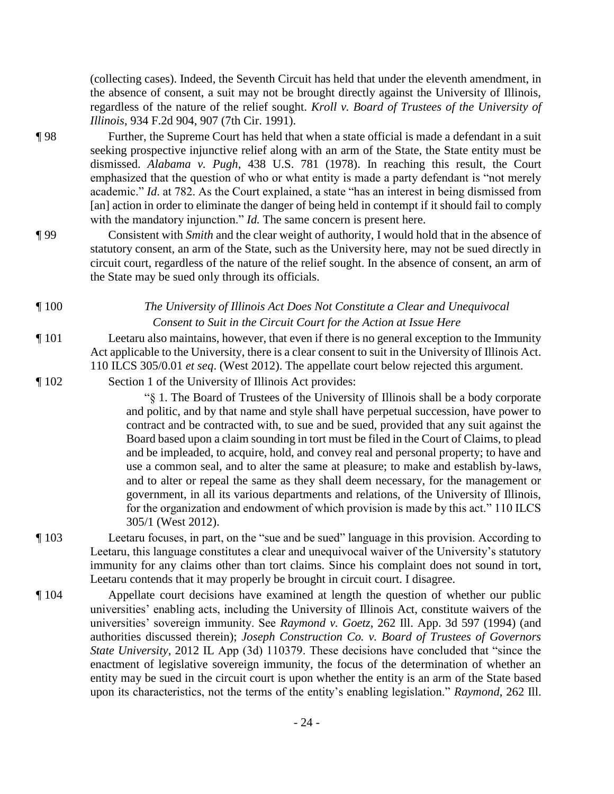(collecting cases). Indeed, the Seventh Circuit has held that under the eleventh amendment, in the absence of consent, a suit may not be brought directly against the University of Illinois, regardless of the nature of the relief sought. *Kroll v. Board of Trustees of the University of Illinois*, 934 F.2d 904, 907 (7th Cir. 1991).

- ¶ 98 Further, the Supreme Court has held that when a state official is made a defendant in a suit seeking prospective injunctive relief along with an arm of the State, the State entity must be dismissed. *Alabama v. Pugh*, 438 U.S. 781 (1978). In reaching this result, the Court emphasized that the question of who or what entity is made a party defendant is "not merely academic." *Id*. at 782. As the Court explained, a state "has an interest in being dismissed from [an] action in order to eliminate the danger of being held in contempt if it should fail to comply with the mandatory injunction." *Id*. The same concern is present here.
- ¶ 99 Consistent with *Smith* and the clear weight of authority, I would hold that in the absence of statutory consent, an arm of the State, such as the University here, may not be sued directly in circuit court, regardless of the nature of the relief sought. In the absence of consent, an arm of the State may be sued only through its officials.
- ¶ 100 *The University of Illinois Act Does Not Constitute a Clear and Unequivocal Consent to Suit in the Circuit Court for the Action at Issue Here*
- ¶ 101 Leetaru also maintains, however, that even if there is no general exception to the Immunity Act applicable to the University, there is a clear consent to suit in the University of Illinois Act. 110 ILCS 305/0.01 *et seq*. (West 2012). The appellate court below rejected this argument.
- ¶ 102 Section 1 of the University of Illinois Act provides:

"§ 1. The Board of Trustees of the University of Illinois shall be a body corporate and politic, and by that name and style shall have perpetual succession, have power to contract and be contracted with, to sue and be sued, provided that any suit against the Board based upon a claim sounding in tort must be filed in the Court of Claims, to plead and be impleaded, to acquire, hold, and convey real and personal property; to have and use a common seal, and to alter the same at pleasure; to make and establish by-laws, and to alter or repeal the same as they shall deem necessary, for the management or government, in all its various departments and relations, of the University of Illinois, for the organization and endowment of which provision is made by this act." 110 ILCS 305/1 (West 2012).

- ¶ 103 Leetaru focuses, in part, on the "sue and be sued" language in this provision. According to Leetaru, this language constitutes a clear and unequivocal waiver of the University's statutory immunity for any claims other than tort claims. Since his complaint does not sound in tort, Leetaru contends that it may properly be brought in circuit court. I disagree.
- ¶ 104 Appellate court decisions have examined at length the question of whether our public universities' enabling acts, including the University of Illinois Act, constitute waivers of the universities' sovereign immunity. See *Raymond v. Goetz*, 262 Ill. App. 3d 597 (1994) (and authorities discussed therein); *Joseph Construction Co. v. Board of Trustees of Governors State University*, 2012 IL App (3d) 110379. These decisions have concluded that "since the enactment of legislative sovereign immunity, the focus of the determination of whether an entity may be sued in the circuit court is upon whether the entity is an arm of the State based upon its characteristics, not the terms of the entity's enabling legislation." *Raymond*, 262 Ill.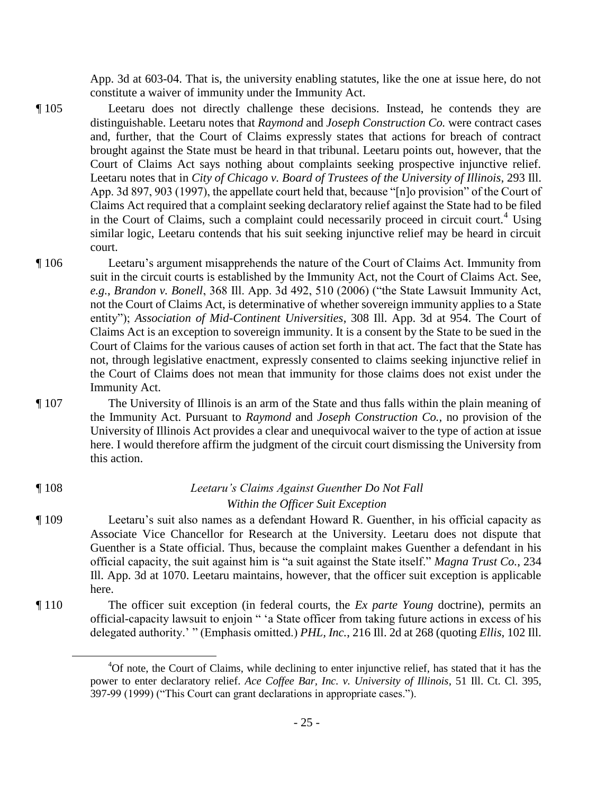App. 3d at 603-04. That is, the university enabling statutes, like the one at issue here, do not constitute a waiver of immunity under the Immunity Act.

- ¶ 105 Leetaru does not directly challenge these decisions. Instead, he contends they are distinguishable. Leetaru notes that *Raymond* and *Joseph Construction Co.* were contract cases and, further, that the Court of Claims expressly states that actions for breach of contract brought against the State must be heard in that tribunal. Leetaru points out, however, that the Court of Claims Act says nothing about complaints seeking prospective injunctive relief. Leetaru notes that in *City of Chicago v. Board of Trustees of the University of Illinois*, 293 Ill. App. 3d 897, 903 (1997), the appellate court held that, because "[n]o provision" of the Court of Claims Act required that a complaint seeking declaratory relief against the State had to be filed in the Court of Claims, such a complaint could necessarily proceed in circuit court.<sup>4</sup> Using similar logic, Leetaru contends that his suit seeking injunctive relief may be heard in circuit court.
- ¶ 106 Leetaru's argument misapprehends the nature of the Court of Claims Act. Immunity from suit in the circuit courts is established by the Immunity Act, not the Court of Claims Act. See, *e.g.*, *Brandon v. Bonell*, 368 Ill. App. 3d 492, 510 (2006) ("the State Lawsuit Immunity Act, not the Court of Claims Act, is determinative of whether sovereign immunity applies to a State entity"); *Association of Mid-Continent Universities*, 308 Ill. App. 3d at 954. The Court of Claims Act is an exception to sovereign immunity. It is a consent by the State to be sued in the Court of Claims for the various causes of action set forth in that act. The fact that the State has not, through legislative enactment, expressly consented to claims seeking injunctive relief in the Court of Claims does not mean that immunity for those claims does not exist under the Immunity Act.
- ¶ 107 The University of Illinois is an arm of the State and thus falls within the plain meaning of the Immunity Act. Pursuant to *Raymond* and *Joseph Construction Co.*, no provision of the University of Illinois Act provides a clear and unequivocal waiver to the type of action at issue here. I would therefore affirm the judgment of the circuit court dismissing the University from this action.

## ¶ 108 *Leetaru's Claims Against Guenther Do Not Fall Within the Officer Suit Exception*

 $\overline{a}$ 

- ¶ 109 Leetaru's suit also names as a defendant Howard R. Guenther, in his official capacity as Associate Vice Chancellor for Research at the University. Leetaru does not dispute that Guenther is a State official. Thus, because the complaint makes Guenther a defendant in his official capacity, the suit against him is "a suit against the State itself." *Magna Trust Co.*, 234 Ill. App. 3d at 1070. Leetaru maintains, however, that the officer suit exception is applicable here.
- ¶ 110 The officer suit exception (in federal courts, the *Ex parte Young* doctrine), permits an official-capacity lawsuit to enjoin " 'a State officer from taking future actions in excess of his delegated authority.' " (Emphasis omitted.) *PHL, Inc.*, 216 Ill. 2d at 268 (quoting *Ellis*, 102 Ill.

<sup>4</sup>Of note, the Court of Claims, while declining to enter injunctive relief, has stated that it has the power to enter declaratory relief. *Ace Coffee Bar, Inc. v. University of Illinois*, 51 Ill. Ct. Cl. 395, 397-99 (1999) ("This Court can grant declarations in appropriate cases.").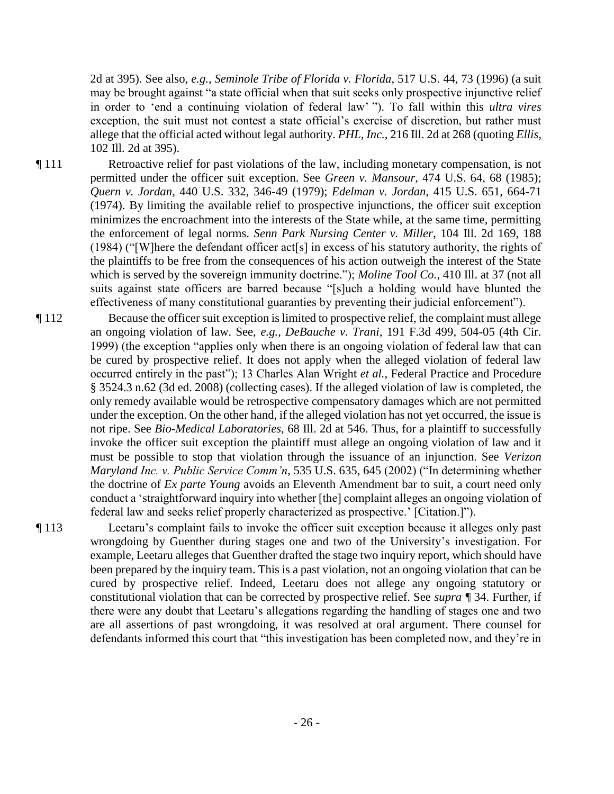2d at 395). See also, *e.g.*, *Seminole Tribe of Florida v. Florida*, 517 U.S. 44, 73 (1996) (a suit may be brought against "a state official when that suit seeks only prospective injunctive relief in order to 'end a continuing violation of federal law' "). To fall within this *ultra vires* exception, the suit must not contest a state official's exercise of discretion, but rather must allege that the official acted without legal authority. *PHL, Inc.*, 216 Ill. 2d at 268 (quoting *Ellis*, 102 Ill. 2d at 395).

- ¶ 111 Retroactive relief for past violations of the law, including monetary compensation, is not permitted under the officer suit exception. See *Green v. Mansour*, 474 U.S. 64, 68 (1985); *Quern v. Jordan*, 440 U.S. 332, 346-49 (1979); *Edelman v. Jordan*, 415 U.S. 651, 664-71 (1974). By limiting the available relief to prospective injunctions, the officer suit exception minimizes the encroachment into the interests of the State while, at the same time, permitting the enforcement of legal norms. *Senn Park Nursing Center v. Miller*, 104 Ill. 2d 169, 188 (1984) ("[W]here the defendant officer act[s] in excess of his statutory authority, the rights of the plaintiffs to be free from the consequences of his action outweigh the interest of the State which is served by the sovereign immunity doctrine."); *Moline Tool Co.*, 410 Ill. at 37 (not all suits against state officers are barred because "[s]uch a holding would have blunted the effectiveness of many constitutional guaranties by preventing their judicial enforcement").
- ¶ 112 Because the officer suit exception is limited to prospective relief, the complaint must allege an ongoing violation of law. See, *e.g.*, *DeBauche v. Trani*, 191 F.3d 499, 504-05 (4th Cir. 1999) (the exception "applies only when there is an ongoing violation of federal law that can be cured by prospective relief. It does not apply when the alleged violation of federal law occurred entirely in the past"); 13 Charles Alan Wright *et al.*, Federal Practice and Procedure § 3524.3 n.62 (3d ed. 2008) (collecting cases). If the alleged violation of law is completed, the only remedy available would be retrospective compensatory damages which are not permitted under the exception. On the other hand, if the alleged violation has not yet occurred, the issue is not ripe. See *Bio-Medical Laboratories*, 68 Ill. 2d at 546. Thus, for a plaintiff to successfully invoke the officer suit exception the plaintiff must allege an ongoing violation of law and it must be possible to stop that violation through the issuance of an injunction. See *Verizon Maryland Inc. v. Public Service Comm'n*, 535 U.S. 635, 645 (2002) ("In determining whether the doctrine of *Ex parte Young* avoids an Eleventh Amendment bar to suit, a court need only conduct a 'straightforward inquiry into whether [the] complaint alleges an ongoing violation of federal law and seeks relief properly characterized as prospective.' [Citation.]").

¶ 113 Leetaru's complaint fails to invoke the officer suit exception because it alleges only past wrongdoing by Guenther during stages one and two of the University's investigation. For example, Leetaru alleges that Guenther drafted the stage two inquiry report, which should have been prepared by the inquiry team. This is a past violation, not an ongoing violation that can be cured by prospective relief. Indeed, Leetaru does not allege any ongoing statutory or constitutional violation that can be corrected by prospective relief. See *supra ¶* 34. Further, if there were any doubt that Leetaru's allegations regarding the handling of stages one and two are all assertions of past wrongdoing, it was resolved at oral argument. There counsel for defendants informed this court that "this investigation has been completed now, and they're in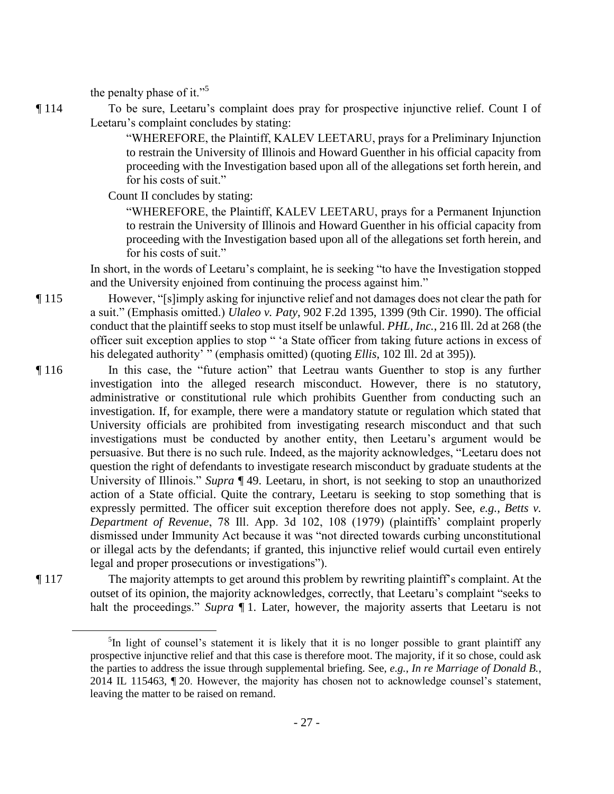the penalty phase of it."<sup>5</sup>

 $\overline{a}$ 

¶ 114 To be sure, Leetaru's complaint does pray for prospective injunctive relief. Count I of Leetaru's complaint concludes by stating:

> "WHEREFORE, the Plaintiff, KALEV LEETARU, prays for a Preliminary Injunction to restrain the University of Illinois and Howard Guenther in his official capacity from proceeding with the Investigation based upon all of the allegations set forth herein, and for his costs of suit."

Count II concludes by stating:

"WHEREFORE, the Plaintiff, KALEV LEETARU, prays for a Permanent Injunction to restrain the University of Illinois and Howard Guenther in his official capacity from proceeding with the Investigation based upon all of the allegations set forth herein, and for his costs of suit."

In short, in the words of Leetaru's complaint, he is seeking "to have the Investigation stopped and the University enjoined from continuing the process against him."

¶ 115 However, "[s]imply asking for injunctive relief and not damages does not clear the path for a suit." (Emphasis omitted.) *Ulaleo v. Paty*, 902 F.2d 1395, 1399 (9th Cir. 1990). The official conduct that the plaintiff seeks to stop must itself be unlawful. *PHL, Inc.*, 216 Ill. 2d at 268 (the officer suit exception applies to stop " 'a State officer from taking future actions in excess of his delegated authority' " (emphasis omitted) (quoting *Ellis*, 102 Ill. 2d at 395))*.*

- ¶ 116 In this case, the "future action" that Leetrau wants Guenther to stop is any further investigation into the alleged research misconduct. However, there is no statutory, administrative or constitutional rule which prohibits Guenther from conducting such an investigation. If, for example, there were a mandatory statute or regulation which stated that University officials are prohibited from investigating research misconduct and that such investigations must be conducted by another entity, then Leetaru's argument would be persuasive. But there is no such rule. Indeed, as the majority acknowledges, "Leetaru does not question the right of defendants to investigate research misconduct by graduate students at the University of Illinois." *Supra* ¶ 49. Leetaru, in short, is not seeking to stop an unauthorized action of a State official. Quite the contrary, Leetaru is seeking to stop something that is expressly permitted. The officer suit exception therefore does not apply. See, *e.g.*, *Betts v. Department of Revenue*, 78 Ill. App. 3d 102, 108 (1979) (plaintiffs' complaint properly dismissed under Immunity Act because it was "not directed towards curbing unconstitutional or illegal acts by the defendants; if granted, this injunctive relief would curtail even entirely legal and proper prosecutions or investigations").
- ¶ 117 The majority attempts to get around this problem by rewriting plaintiff's complaint. At the outset of its opinion, the majority acknowledges, correctly, that Leetaru's complaint "seeks to halt the proceedings." *Supra* 1. Later, however, the majority asserts that Leetaru is not

<sup>&</sup>lt;sup>5</sup>In light of counsel's statement it is likely that it is no longer possible to grant plaintiff any prospective injunctive relief and that this case is therefore moot. The majority, if it so chose, could ask the parties to address the issue through supplemental briefing. See, *e.g.*, *In re Marriage of Donald B.*, 2014 IL 115463, ¶ 20. However, the majority has chosen not to acknowledge counsel's statement, leaving the matter to be raised on remand.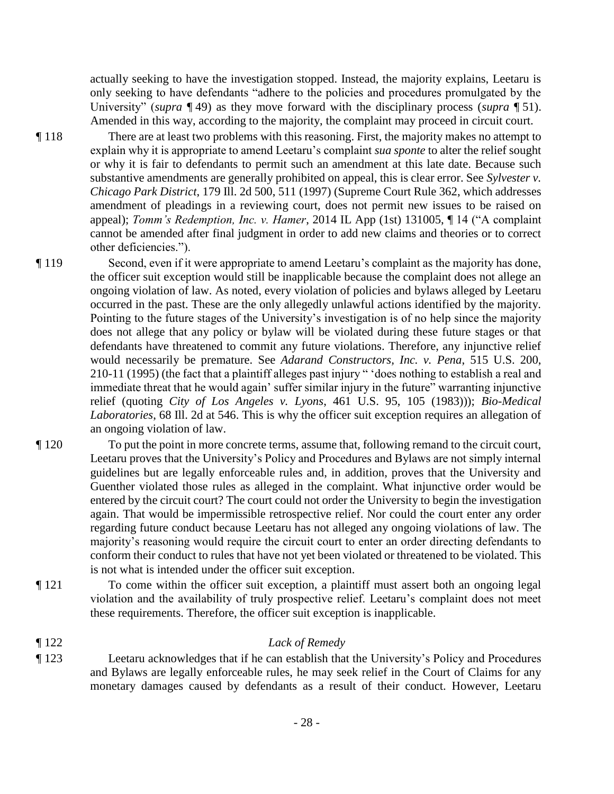actually seeking to have the investigation stopped. Instead, the majority explains, Leetaru is only seeking to have defendants "adhere to the policies and procedures promulgated by the University" (*supra* ¶ 49) as they move forward with the disciplinary process (*supra* ¶ 51). Amended in this way, according to the majority, the complaint may proceed in circuit court.

¶ 118 There are at least two problems with this reasoning. First, the majority makes no attempt to explain why it is appropriate to amend Leetaru's complaint *sua sponte* to alter the relief sought or why it is fair to defendants to permit such an amendment at this late date. Because such substantive amendments are generally prohibited on appeal, this is clear error. See *Sylvester v. Chicago Park District*, 179 Ill. 2d 500, 511 (1997) (Supreme Court Rule 362, which addresses amendment of pleadings in a reviewing court, does not permit new issues to be raised on appeal); *Tomm's Redemption, Inc. v. Hamer*, 2014 IL App (1st) 131005, ¶ 14 ("A complaint cannot be amended after final judgment in order to add new claims and theories or to correct other deficiencies.").

¶ 119 Second, even if it were appropriate to amend Leetaru's complaint as the majority has done, the officer suit exception would still be inapplicable because the complaint does not allege an ongoing violation of law. As noted, every violation of policies and bylaws alleged by Leetaru occurred in the past. These are the only allegedly unlawful actions identified by the majority. Pointing to the future stages of the University's investigation is of no help since the majority does not allege that any policy or bylaw will be violated during these future stages or that defendants have threatened to commit any future violations. Therefore, any injunctive relief would necessarily be premature. See *Adarand Constructors, Inc. v. Pena*, 515 U.S. 200, 210-11 (1995) (the fact that a plaintiff alleges past injury " 'does nothing to establish a real and immediate threat that he would again' suffer similar injury in the future" warranting injunctive relief (quoting *City of Los Angeles v. Lyons*, 461 U.S. 95, 105 (1983))); *Bio-Medical Laboratories*, 68 Ill. 2d at 546. This is why the officer suit exception requires an allegation of an ongoing violation of law.

- ¶ 120 To put the point in more concrete terms, assume that, following remand to the circuit court, Leetaru proves that the University's Policy and Procedures and Bylaws are not simply internal guidelines but are legally enforceable rules and, in addition, proves that the University and Guenther violated those rules as alleged in the complaint. What injunctive order would be entered by the circuit court? The court could not order the University to begin the investigation again. That would be impermissible retrospective relief. Nor could the court enter any order regarding future conduct because Leetaru has not alleged any ongoing violations of law. The majority's reasoning would require the circuit court to enter an order directing defendants to conform their conduct to rules that have not yet been violated or threatened to be violated. This is not what is intended under the officer suit exception.
- ¶ 121 To come within the officer suit exception, a plaintiff must assert both an ongoing legal violation and the availability of truly prospective relief. Leetaru's complaint does not meet these requirements. Therefore, the officer suit exception is inapplicable.
- ¶ 122 *Lack of Remedy*
- ¶ 123 Leetaru acknowledges that if he can establish that the University's Policy and Procedures and Bylaws are legally enforceable rules, he may seek relief in the Court of Claims for any monetary damages caused by defendants as a result of their conduct. However, Leetaru